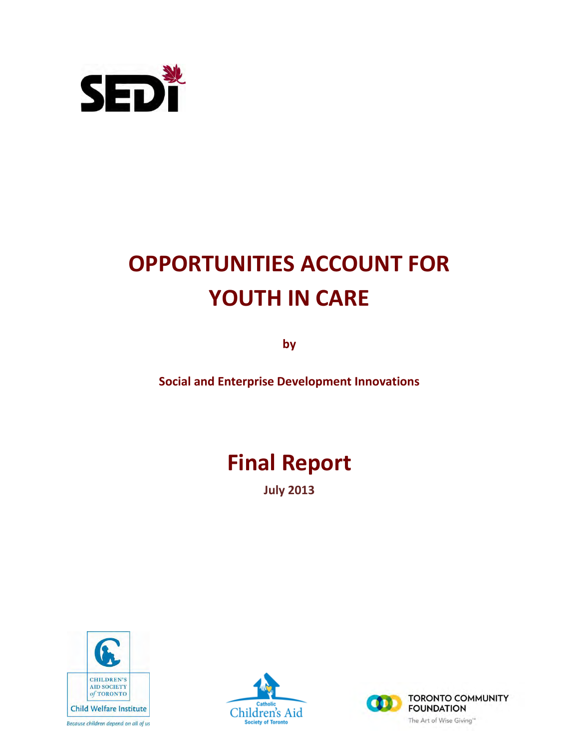

# **OPPORTUNITIES ACCOUNT FOR YOUTH IN CARE**

**by** 

**Social and Enterprise Development Innovations** 

# **Final Report**

**July 2013**



Because children depend on all of us



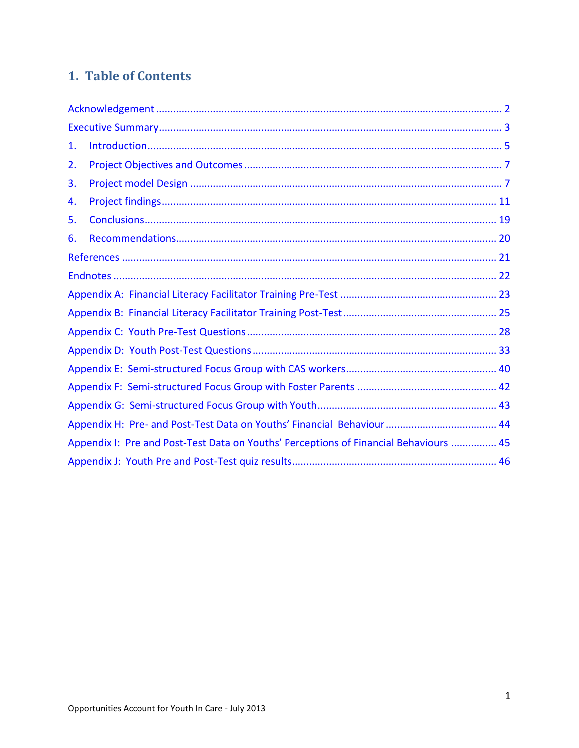# 1. Table of Contents

| 1. |                                                                                       |  |
|----|---------------------------------------------------------------------------------------|--|
| 2. |                                                                                       |  |
| 3. |                                                                                       |  |
| 4. |                                                                                       |  |
| 5. |                                                                                       |  |
| 6. |                                                                                       |  |
|    |                                                                                       |  |
|    |                                                                                       |  |
|    |                                                                                       |  |
|    |                                                                                       |  |
|    |                                                                                       |  |
|    |                                                                                       |  |
|    |                                                                                       |  |
|    |                                                                                       |  |
|    |                                                                                       |  |
|    |                                                                                       |  |
|    | Appendix I: Pre and Post-Test Data on Youths' Perceptions of Financial Behaviours  45 |  |
|    |                                                                                       |  |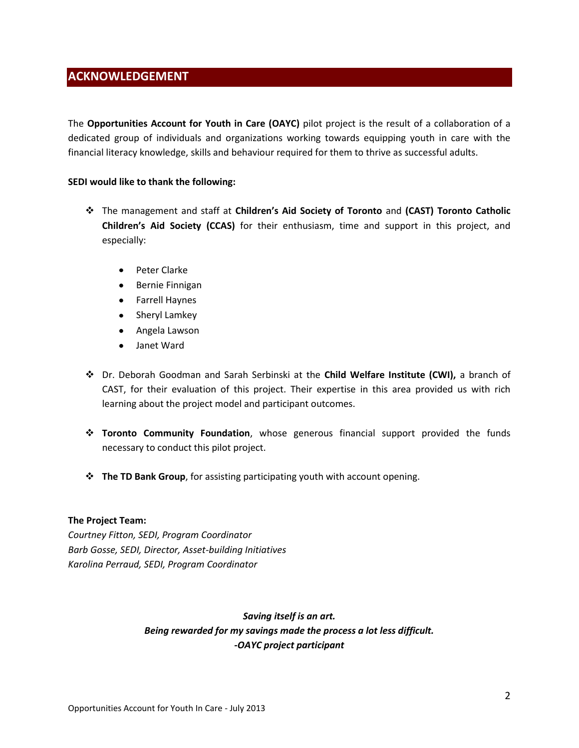# <span id="page-2-0"></span>**ACKNOWLEDGEMENT**

The **Opportunities Account for Youth in Care (OAYC)** pilot project is the result of a collaboration of a dedicated group of individuals and organizations working towards equipping youth in care with the financial literacy knowledge, skills and behaviour required for them to thrive as successful adults.

### **SEDI would like to thank the following:**

- The management and staff at **Children's Aid Society of Toronto** and **(CAST) Toronto Catholic Children's Aid Society (CCAS)** for their enthusiasm, time and support in this project, and especially:
	- Peter Clarke  $\bullet$  .
	- Bernie Finnigan  $\bullet$
	- Farrell Haynes
	- Sheryl Lamkey
	- Angela Lawson
	- Janet Ward  $\bullet$
- Dr. Deborah Goodman and Sarah Serbinski at the **Child Welfare Institute (CWI),** a branch of CAST, for their evaluation of this project. Their expertise in this area provided us with rich learning about the project model and participant outcomes.
- **Toronto Community Foundation**, whose generous financial support provided the funds necessary to conduct this pilot project.
- **The TD Bank Group**, for assisting participating youth with account opening.

### **The Project Team:**

*Courtney Fitton, SEDI, Program Coordinator Barb Gosse, SEDI, Director, Asset-building Initiatives Karolina Perraud, SEDI, Program Coordinator* 

# *Saving itself is an art. Being rewarded for my savings made the process a lot less difficult. -OAYC project participant*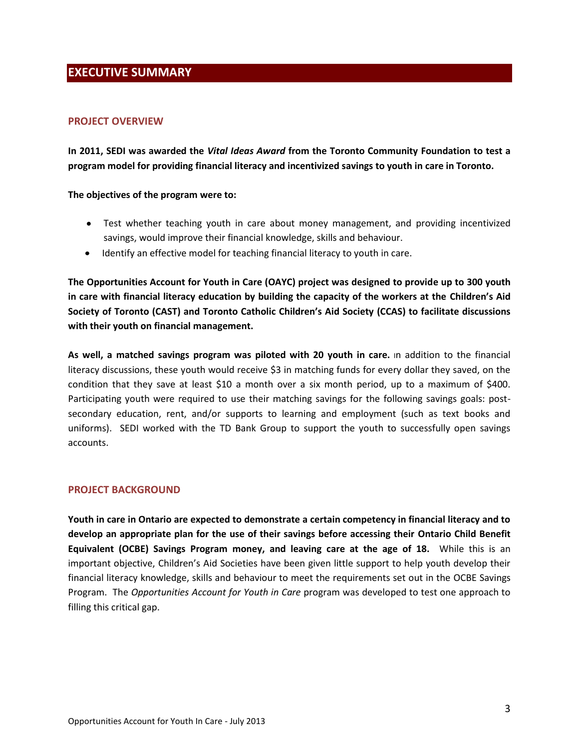# <span id="page-3-0"></span>**EXECUTIVE SUMMARY**

### **PROJECT OVERVIEW**

**In 2011, SEDI was awarded the** *Vital Ideas Award* **from the Toronto Community Foundation to test a program model for providing financial literacy and incentivized savings to youth in care in Toronto.** 

### **The objectives of the program were to:**

- Test whether teaching youth in care about money management, and providing incentivized savings, would improve their financial knowledge, skills and behaviour.
- Identify an effective model for teaching financial literacy to youth in care.

**The Opportunities Account for Youth in Care (OAYC) project was designed to provide up to 300 youth in care with financial literacy education by building the capacity of the workers at the Children's Aid Society of Toronto (CAST) and Toronto Catholic Children's Aid Society (CCAS) to facilitate discussions with their youth on financial management.** 

**As well, a matched savings program was piloted with 20 youth in care.** In addition to the financial literacy discussions, these youth would receive \$3 in matching funds for every dollar they saved, on the condition that they save at least \$10 a month over a six month period, up to a maximum of \$400. Participating youth were required to use their matching savings for the following savings goals: postsecondary education, rent, and/or supports to learning and employment (such as text books and uniforms). SEDI worked with the TD Bank Group to support the youth to successfully open savings accounts.

### **PROJECT BACKGROUND**

**Youth in care in Ontario are expected to demonstrate a certain competency in financial literacy and to develop an appropriate plan for the use of their savings before accessing their Ontario Child Benefit Equivalent (OCBE) Savings Program money, and leaving care at the age of 18.** While this is an important objective, Children's Aid Societies have been given little support to help youth develop their financial literacy knowledge, skills and behaviour to meet the requirements set out in the OCBE Savings Program. The *Opportunities Account for Youth in Care* program was developed to test one approach to filling this critical gap.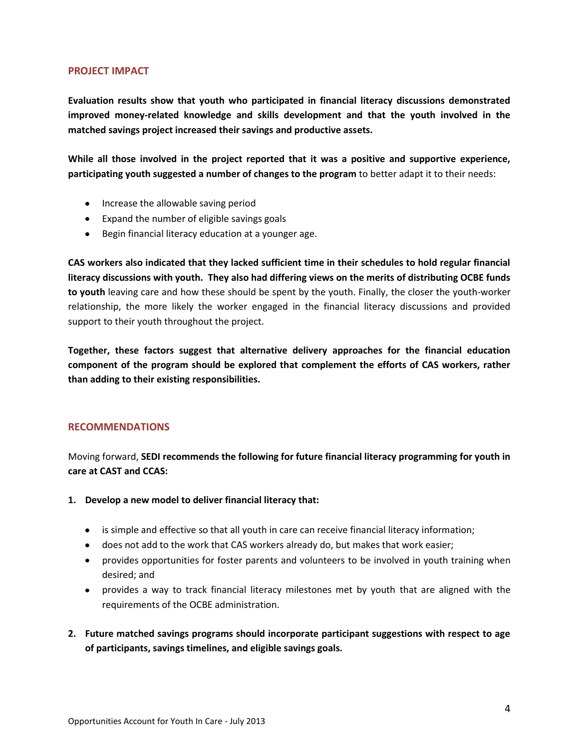### **PROJECT IMPACT**

**Evaluation results show that youth who participated in financial literacy discussions demonstrated improved money-related knowledge and skills development and that the youth involved in the matched savings project increased their savings and productive assets.** 

**While all those involved in the project reported that it was a positive and supportive experience, participating youth suggested a number of changes to the program** to better adapt it to their needs:

- Increase the allowable saving period
- Expand the number of eligible savings goals
- Begin financial literacy education at a younger age.

**CAS workers also indicated that they lacked sufficient time in their schedules to hold regular financial literacy discussions with youth. They also had differing views on the merits of distributing OCBE funds to youth** leaving care and how these should be spent by the youth. Finally, the closer the youth-worker relationship, the more likely the worker engaged in the financial literacy discussions and provided support to their youth throughout the project.

**Together, these factors suggest that alternative delivery approaches for the financial education component of the program should be explored that complement the efforts of CAS workers, rather than adding to their existing responsibilities.** 

### **RECOMMENDATIONS**

Moving forward, **SEDI recommends the following for future financial literacy programming for youth in care at CAST and CCAS:** 

- **1. Develop a new model to deliver financial literacy that:** 
	- is simple and effective so that all youth in care can receive financial literacy information;
	- does not add to the work that CAS workers already do, but makes that work easier;
	- provides opportunities for foster parents and volunteers to be involved in youth training when desired; and
	- provides a way to track financial literacy milestones met by youth that are aligned with the requirements of the OCBE administration.
- **2. Future matched savings programs should incorporate participant suggestions with respect to age of participants, savings timelines, and eligible savings goals.**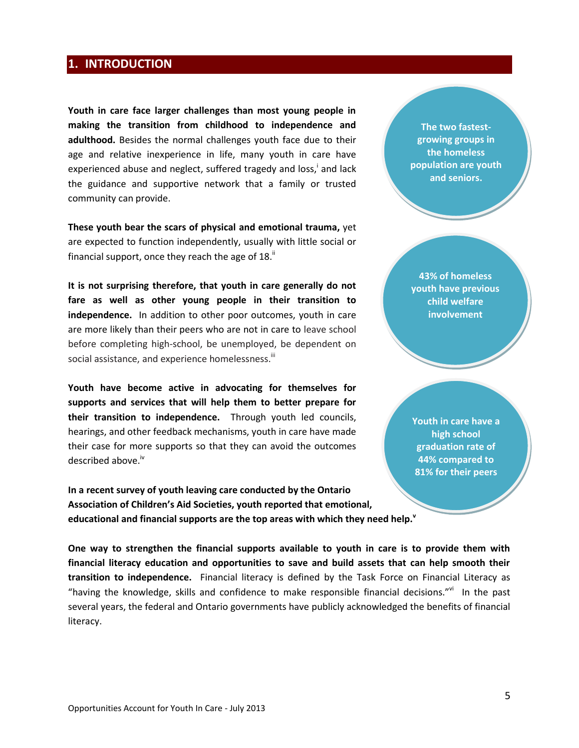# <span id="page-5-0"></span>**1. INTRODUCTION**

**Youth in care face larger challenges than most young people in making the transition from childhood to independence and adulthood.** Besides the normal challenges youth face due to their age and relative inexperience in life, many youth in care have experienced abuse and neglect, suffered tragedy and loss,<sup>i</sup> and lack the guidance and supportive network that a family or trusted community can provide.

**These youth bear the scars of physical and emotional trauma,** yet are expected to function independently, usually with little social or financial support, once they reach the age of  $18.$ "

**It is not surprising therefore, that youth in care generally do not fare as well as other young people in their transition to independence.** In addition to other poor outcomes, youth in care are more likely than their peers who are not in care to leave school before completing high-school, be unemployed, be dependent on social assistance, and experience homelessness.<sup>iii</sup>

**Youth have become active in advocating for themselves for supports and services that will help them to better prepare for their transition to independence.** Through youth led councils, hearings, and other feedback mechanisms, youth in care have made their case for more supports so that they can avoid the outcomes described above.<sup>iv</sup>

**In a recent survey of youth leaving care conducted by the Ontario Association of Children's Aid Societies, youth reported that emotional, educational and financial supports are the top areas with which they need help.<sup>v</sup>**

**The two fastestgrowing groups in the homeless population are youth and seniors.**

**43% of homeless youth have previous child welfare involvement**

**Youth in care have a high school graduation rate of 44% compared to 81% for their peers** 

**One way to strengthen the financial supports available to youth in care is to provide them with financial literacy education and opportunities to save and build assets that can help smooth their transition to independence.** Financial literacy is defined by the Task Force on Financial Literacy as "having the knowledge, skills and confidence to make responsible financial decisions."vi In the past several years, the federal and Ontario governments have publicly acknowledged the benefits of financial literacy.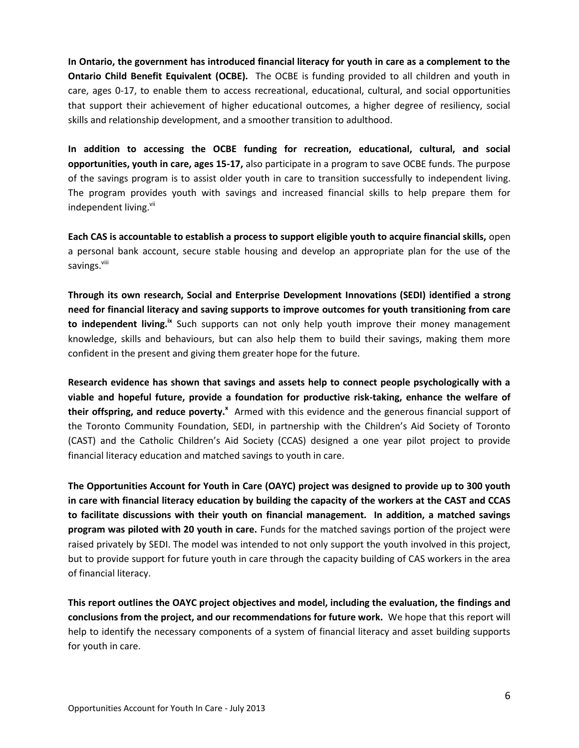**In Ontario, the government has introduced financial literacy for youth in care as a complement to the Ontario Child Benefit Equivalent (OCBE).** The OCBE is funding provided to all children and youth in care, ages 0-17, to enable them to access recreational, educational, cultural, and social opportunities that support their achievement of higher educational outcomes, a higher degree of resiliency, social skills and relationship development, and a smoother transition to adulthood.

**In addition to accessing the OCBE funding for recreation, educational, cultural, and social opportunities, youth in care, ages 15-17,** also participate in a program to save OCBE funds. The purpose of the savings program is to assist older youth in care to transition successfully to independent living. The program provides youth with savings and increased financial skills to help prepare them for independent living.<sup>vii</sup>

**Each CAS is accountable to establish a process to support eligible youth to acquire financial skills,** open a personal bank account, secure stable housing and develop an appropriate plan for the use of the savings.<sup>viii</sup>

**Through its own research, Social and Enterprise Development Innovations (SEDI) identified a strong need for financial literacy and saving supports to improve outcomes for youth transitioning from care to independent living.ix** Such supports can not only help youth improve their money management knowledge, skills and behaviours, but can also help them to build their savings, making them more confident in the present and giving them greater hope for the future.

**Research evidence has shown that savings and assets help to connect people psychologically with a viable and hopeful future, provide a foundation for productive risk-taking, enhance the welfare of their offspring, and reduce poverty.<sup>x</sup>** Armed with this evidence and the generous financial support of the Toronto Community Foundation, SEDI, in partnership with the Children's Aid Society of Toronto (CAST) and the Catholic Children's Aid Society (CCAS) designed a one year pilot project to provide financial literacy education and matched savings to youth in care.

**The Opportunities Account for Youth in Care (OAYC) project was designed to provide up to 300 youth in care with financial literacy education by building the capacity of the workers at the CAST and CCAS to facilitate discussions with their youth on financial management. In addition, a matched savings program was piloted with 20 youth in care.** Funds for the matched savings portion of the project were raised privately by SEDI. The model was intended to not only support the youth involved in this project, but to provide support for future youth in care through the capacity building of CAS workers in the area of financial literacy.

**This report outlines the OAYC project objectives and model, including the evaluation, the findings and conclusions from the project, and our recommendations for future work.** We hope that this report will help to identify the necessary components of a system of financial literacy and asset building supports for youth in care.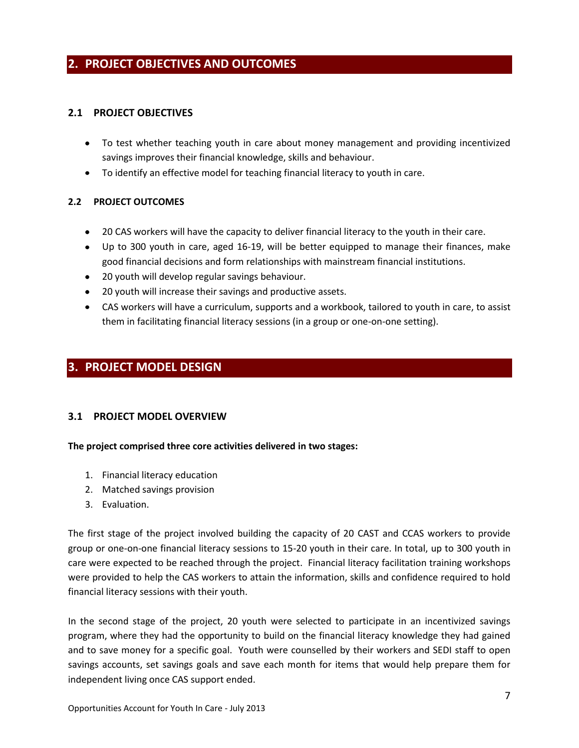# <span id="page-7-0"></span>**2. PROJECT OBJECTIVES AND OUTCOMES**

### **2.1 PROJECT OBJECTIVES**

- To test whether teaching youth in care about money management and providing incentivized savings improves their financial knowledge, skills and behaviour.
- To identify an effective model for teaching financial literacy to youth in care.

### **2.2 PROJECT OUTCOMES**

- 20 CAS workers will have the capacity to deliver financial literacy to the youth in their care.
- Up to 300 youth in care, aged 16-19, will be better equipped to manage their finances, make good financial decisions and form relationships with mainstream financial institutions.
- 20 youth will develop regular savings behaviour.
- 20 youth will increase their savings and productive assets.
- CAS workers will have a curriculum, supports and a workbook, tailored to youth in care, to assist them in facilitating financial literacy sessions (in a group or one-on-one setting).

# <span id="page-7-1"></span>**3. PROJECT MODEL DESIGN**

### **3.1 PROJECT MODEL OVERVIEW**

### **The project comprised three core activities delivered in two stages:**

- 1. Financial literacy education
- 2. Matched savings provision
- 3. Evaluation.

The first stage of the project involved building the capacity of 20 CAST and CCAS workers to provide group or one-on-one financial literacy sessions to 15-20 youth in their care. In total, up to 300 youth in care were expected to be reached through the project. Financial literacy facilitation training workshops were provided to help the CAS workers to attain the information, skills and confidence required to hold financial literacy sessions with their youth.

In the second stage of the project, 20 youth were selected to participate in an incentivized savings program, where they had the opportunity to build on the financial literacy knowledge they had gained and to save money for a specific goal. Youth were counselled by their workers and SEDI staff to open savings accounts, set savings goals and save each month for items that would help prepare them for independent living once CAS support ended.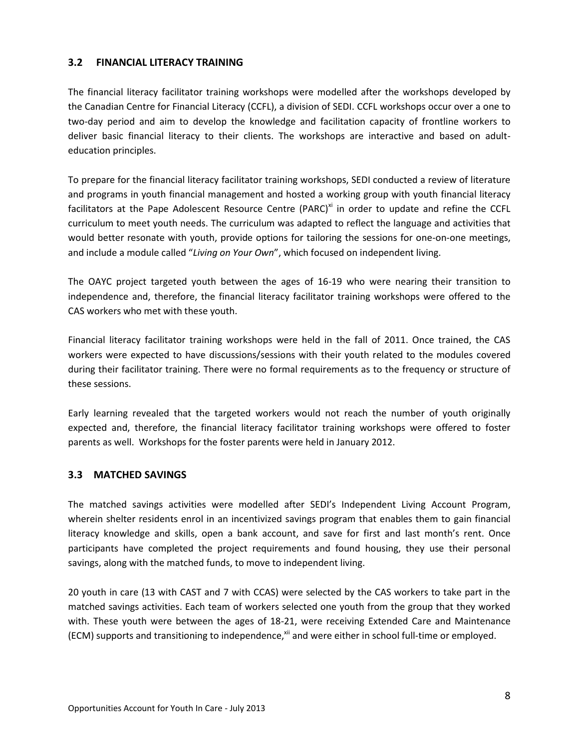### **3.2 FINANCIAL LITERACY TRAINING**

The financial literacy facilitator training workshops were modelled after the workshops developed by the Canadian Centre for Financial Literacy (CCFL), a division of SEDI. CCFL workshops occur over a one to two-day period and aim to develop the knowledge and facilitation capacity of frontline workers to deliver basic financial literacy to their clients. The workshops are interactive and based on adulteducation principles.

To prepare for the financial literacy facilitator training workshops, SEDI conducted a review of literature and programs in youth financial management and hosted a working group with youth financial literacy facilitators at the Pape Adolescent Resource Centre (PARC)<sup>xi</sup> in order to update and refine the CCFL curriculum to meet youth needs. The curriculum was adapted to reflect the language and activities that would better resonate with youth, provide options for tailoring the sessions for one-on-one meetings, and include a module called "*Living on Your Own*", which focused on independent living.

The OAYC project targeted youth between the ages of 16-19 who were nearing their transition to independence and, therefore, the financial literacy facilitator training workshops were offered to the CAS workers who met with these youth.

Financial literacy facilitator training workshops were held in the fall of 2011. Once trained, the CAS workers were expected to have discussions/sessions with their youth related to the modules covered during their facilitator training. There were no formal requirements as to the frequency or structure of these sessions.

Early learning revealed that the targeted workers would not reach the number of youth originally expected and, therefore, the financial literacy facilitator training workshops were offered to foster parents as well. Workshops for the foster parents were held in January 2012.

### **3.3 MATCHED SAVINGS**

The matched savings activities were modelled after SEDI's Independent Living Account Program, wherein shelter residents enrol in an incentivized savings program that enables them to gain financial literacy knowledge and skills, open a bank account, and save for first and last month's rent. Once participants have completed the project requirements and found housing, they use their personal savings, along with the matched funds, to move to independent living.

20 youth in care (13 with CAST and 7 with CCAS) were selected by the CAS workers to take part in the matched savings activities. Each team of workers selected one youth from the group that they worked with. These youth were between the ages of 18-21, were receiving Extended Care and Maintenance (ECM) supports and transitioning to independence, $x^{i}$  and were either in school full-time or employed.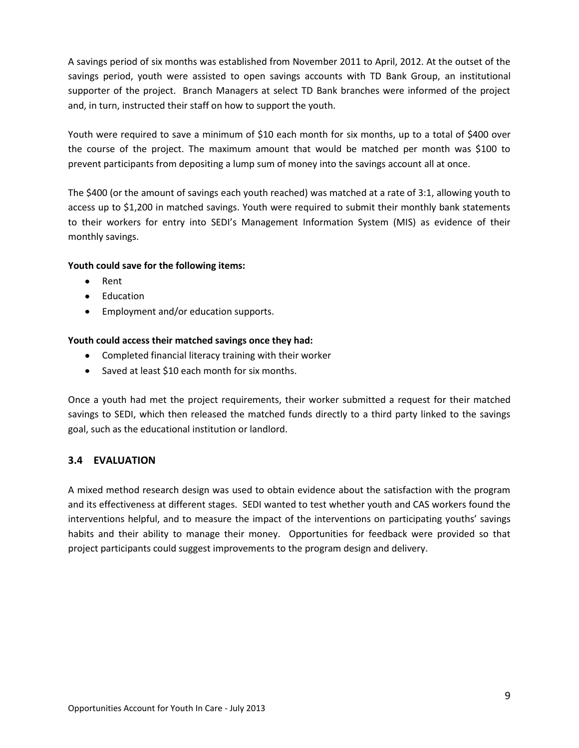A savings period of six months was established from November 2011 to April, 2012. At the outset of the savings period, youth were assisted to open savings accounts with TD Bank Group, an institutional supporter of the project. Branch Managers at select TD Bank branches were informed of the project and, in turn, instructed their staff on how to support the youth.

Youth were required to save a minimum of \$10 each month for six months, up to a total of \$400 over the course of the project. The maximum amount that would be matched per month was \$100 to prevent participants from depositing a lump sum of money into the savings account all at once.

The \$400 (or the amount of savings each youth reached) was matched at a rate of 3:1, allowing youth to access up to \$1,200 in matched savings. Youth were required to submit their monthly bank statements to their workers for entry into SEDI's Management Information System (MIS) as evidence of their monthly savings.

### **Youth could save for the following items:**

- Rent
- Education
- Employment and/or education supports.

# **Youth could access their matched savings once they had:**

- Completed financial literacy training with their worker
- Saved at least \$10 each month for six months.

Once a youth had met the project requirements, their worker submitted a request for their matched savings to SEDI, which then released the matched funds directly to a third party linked to the savings goal, such as the educational institution or landlord.

# **3.4 EVALUATION**

A mixed method research design was used to obtain evidence about the satisfaction with the program and its effectiveness at different stages. SEDI wanted to test whether youth and CAS workers found the interventions helpful, and to measure the impact of the interventions on participating youths' savings habits and their ability to manage their money. Opportunities for feedback were provided so that project participants could suggest improvements to the program design and delivery.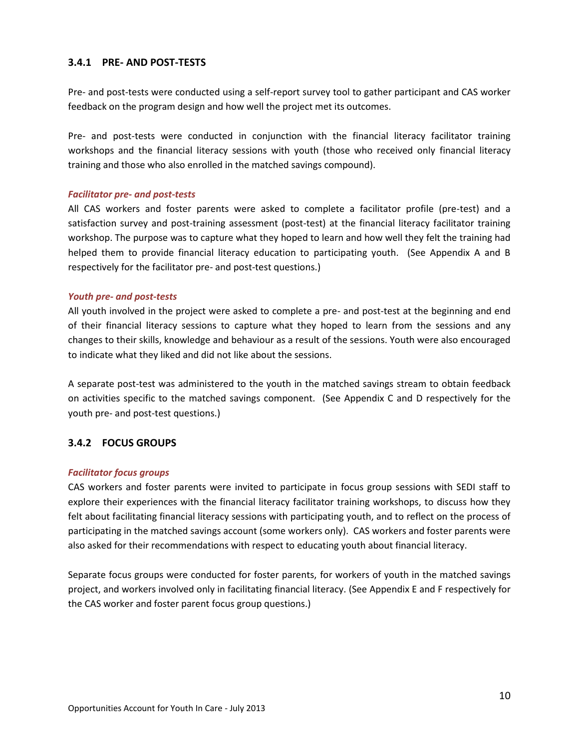### **3.4.1 PRE- AND POST-TESTS**

Pre- and post-tests were conducted using a self-report survey tool to gather participant and CAS worker feedback on the program design and how well the project met its outcomes.

Pre- and post-tests were conducted in conjunction with the financial literacy facilitator training workshops and the financial literacy sessions with youth (those who received only financial literacy training and those who also enrolled in the matched savings compound).

### *Facilitator pre- and post-tests*

All CAS workers and foster parents were asked to complete a facilitator profile (pre-test) and a satisfaction survey and post-training assessment (post-test) at the financial literacy facilitator training workshop. The purpose was to capture what they hoped to learn and how well they felt the training had helped them to provide financial literacy education to participating youth. (See Appendix A and B respectively for the facilitator pre- and post-test questions.)

### *Youth pre- and post-tests*

All youth involved in the project were asked to complete a pre- and post-test at the beginning and end of their financial literacy sessions to capture what they hoped to learn from the sessions and any changes to their skills, knowledge and behaviour as a result of the sessions. Youth were also encouraged to indicate what they liked and did not like about the sessions.

A separate post-test was administered to the youth in the matched savings stream to obtain feedback on activities specific to the matched savings component. (See Appendix C and D respectively for the youth pre- and post-test questions.)

### **3.4.2 FOCUS GROUPS**

### *Facilitator focus groups*

CAS workers and foster parents were invited to participate in focus group sessions with SEDI staff to explore their experiences with the financial literacy facilitator training workshops, to discuss how they felt about facilitating financial literacy sessions with participating youth, and to reflect on the process of participating in the matched savings account (some workers only). CAS workers and foster parents were also asked for their recommendations with respect to educating youth about financial literacy.

Separate focus groups were conducted for foster parents, for workers of youth in the matched savings project, and workers involved only in facilitating financial literacy. (See Appendix E and F respectively for the CAS worker and foster parent focus group questions.)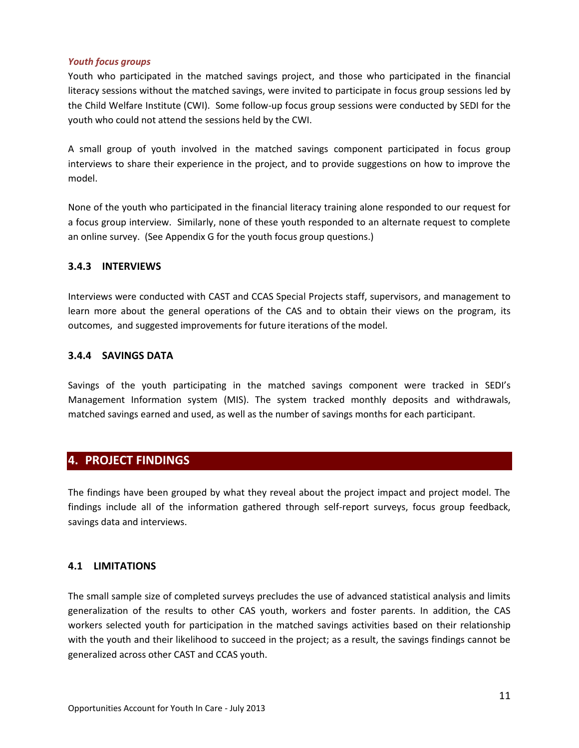### *Youth focus groups*

Youth who participated in the matched savings project, and those who participated in the financial literacy sessions without the matched savings, were invited to participate in focus group sessions led by the Child Welfare Institute (CWI). Some follow-up focus group sessions were conducted by SEDI for the youth who could not attend the sessions held by the CWI.

A small group of youth involved in the matched savings component participated in focus group interviews to share their experience in the project, and to provide suggestions on how to improve the model.

None of the youth who participated in the financial literacy training alone responded to our request for a focus group interview. Similarly, none of these youth responded to an alternate request to complete an online survey. (See Appendix G for the youth focus group questions.)

### **3.4.3 INTERVIEWS**

Interviews were conducted with CAST and CCAS Special Projects staff, supervisors, and management to learn more about the general operations of the CAS and to obtain their views on the program, its outcomes, and suggested improvements for future iterations of the model.

### **3.4.4 SAVINGS DATA**

Savings of the youth participating in the matched savings component were tracked in SEDI's Management Information system (MIS). The system tracked monthly deposits and withdrawals, matched savings earned and used, as well as the number of savings months for each participant.

# <span id="page-11-0"></span>**4. PROJECT FINDINGS**

The findings have been grouped by what they reveal about the project impact and project model. The findings include all of the information gathered through self-report surveys, focus group feedback, savings data and interviews.

# **4.1 LIMITATIONS**

The small sample size of completed surveys precludes the use of advanced statistical analysis and limits generalization of the results to other CAS youth, workers and foster parents. In addition, the CAS workers selected youth for participation in the matched savings activities based on their relationship with the youth and their likelihood to succeed in the project; as a result, the savings findings cannot be generalized across other CAST and CCAS youth.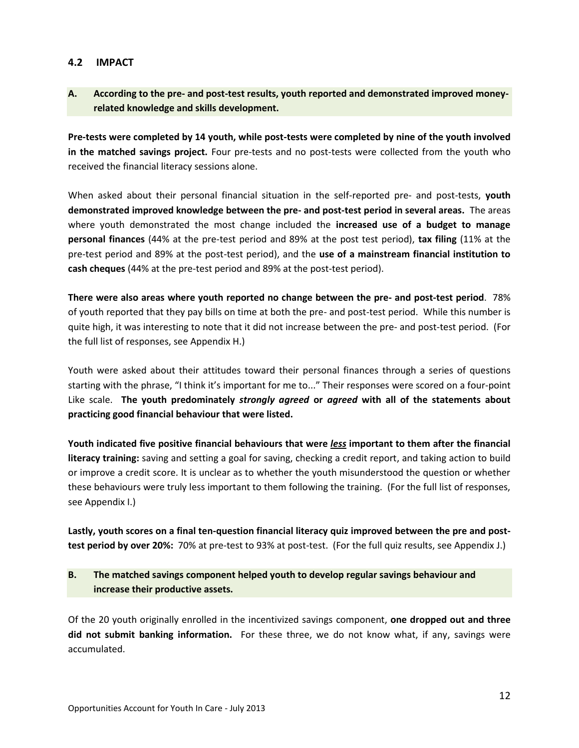### **4.2 IMPACT**

# **A. According to the pre- and post-test results, youth reported and demonstrated improved moneyrelated knowledge and skills development.**

**Pre-tests were completed by 14 youth, while post-tests were completed by nine of the youth involved in the matched savings project.** Four pre-tests and no post-tests were collected from the youth who received the financial literacy sessions alone.

When asked about their personal financial situation in the self-reported pre- and post-tests, **youth demonstrated improved knowledge between the pre- and post-test period in several areas.** The areas where youth demonstrated the most change included the **increased use of a budget to manage personal finances** (44% at the pre-test period and 89% at the post test period), **tax filing** (11% at the pre-test period and 89% at the post-test period), and the **use of a mainstream financial institution to cash cheques** (44% at the pre-test period and 89% at the post-test period).

**There were also areas where youth reported no change between the pre- and post-test period**. 78% of youth reported that they pay bills on time at both the pre- and post-test period. While this number is quite high, it was interesting to note that it did not increase between the pre- and post-test period. (For the full list of responses, see Appendix H.)

Youth were asked about their attitudes toward their personal finances through a series of questions starting with the phrase, "I think it's important for me to..." Their responses were scored on a four-point Like scale. **The youth predominately** *strongly agreed* **or** *agreed* **with all of the statements about practicing good financial behaviour that were listed.** 

**Youth indicated five positive financial behaviours that were** *less* **important to them after the financial literacy training:** saving and setting a goal for saving, checking a credit report, and taking action to build or improve a credit score. It is unclear as to whether the youth misunderstood the question or whether these behaviours were truly less important to them following the training. (For the full list of responses, see Appendix I.)

**Lastly, youth scores on a final ten-question financial literacy quiz improved between the pre and posttest period by over 20%:** 70% at pre-test to 93% at post-test. (For the full quiz results, see Appendix J.)

# **B. The matched savings component helped youth to develop regular savings behaviour and increase their productive assets.**

Of the 20 youth originally enrolled in the incentivized savings component, **one dropped out and three did not submit banking information.** For these three, we do not know what, if any, savings were accumulated.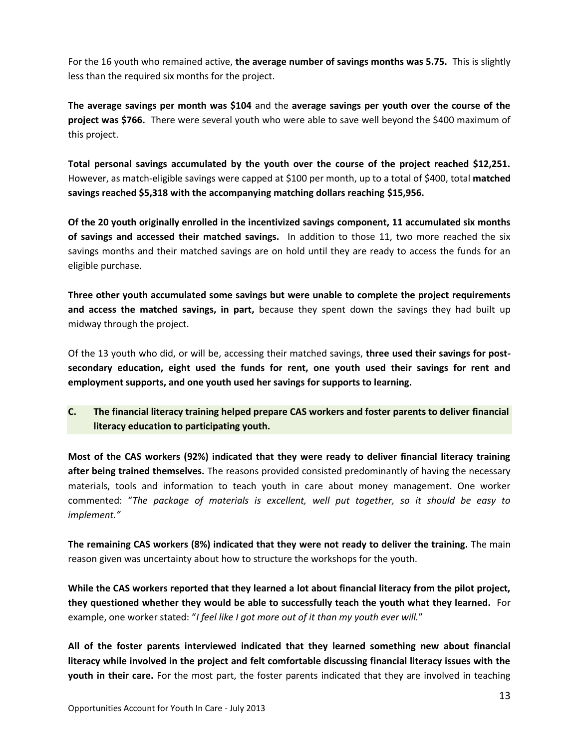For the 16 youth who remained active, **the average number of savings months was 5.75.** This is slightly less than the required six months for the project.

**The average savings per month was \$104** and the **average savings per youth over the course of the project was \$766.** There were several youth who were able to save well beyond the \$400 maximum of this project.

**Total personal savings accumulated by the youth over the course of the project reached \$12,251.** However, as match-eligible savings were capped at \$100 per month, up to a total of \$400, total **matched savings reached \$5,318 with the accompanying matching dollars reaching \$15,956.**

**Of the 20 youth originally enrolled in the incentivized savings component, 11 accumulated six months of savings and accessed their matched savings.** In addition to those 11, two more reached the six savings months and their matched savings are on hold until they are ready to access the funds for an eligible purchase.

**Three other youth accumulated some savings but were unable to complete the project requirements and access the matched savings, in part,** because they spent down the savings they had built up midway through the project.

Of the 13 youth who did, or will be, accessing their matched savings, **three used their savings for postsecondary education, eight used the funds for rent, one youth used their savings for rent and employment supports, and one youth used her savings for supports to learning.** 

# **C. The financial literacy training helped prepare CAS workers and foster parents to deliver financial literacy education to participating youth.**

**Most of the CAS workers (92%) indicated that they were ready to deliver financial literacy training after being trained themselves.** The reasons provided consisted predominantly of having the necessary materials, tools and information to teach youth in care about money management. One worker commented: "*The package of materials is excellent, well put together, so it should be easy to implement."*

**The remaining CAS workers (8%) indicated that they were not ready to deliver the training.** The main reason given was uncertainty about how to structure the workshops for the youth.

**While the CAS workers reported that they learned a lot about financial literacy from the pilot project, they questioned whether they would be able to successfully teach the youth what they learned.** For example, one worker stated: "*I feel like I got more out of it than my youth ever will.*"

**All of the foster parents interviewed indicated that they learned something new about financial literacy while involved in the project and felt comfortable discussing financial literacy issues with the youth in their care.** For the most part, the foster parents indicated that they are involved in teaching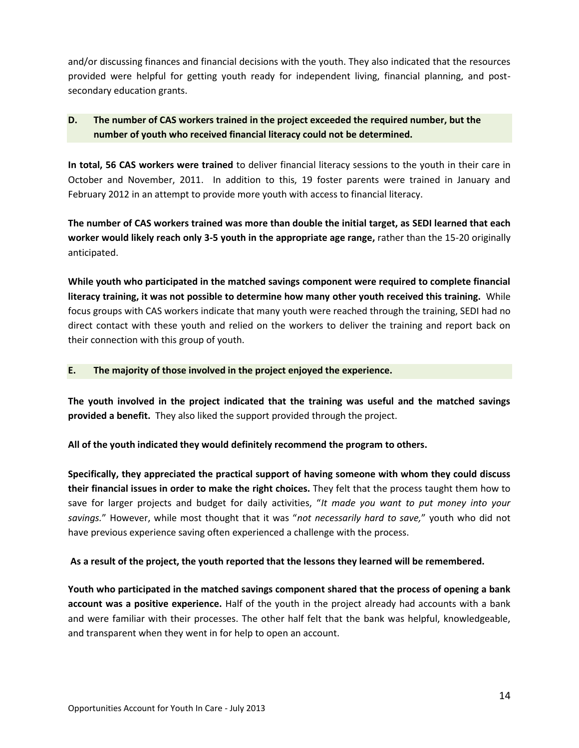and/or discussing finances and financial decisions with the youth. They also indicated that the resources provided were helpful for getting youth ready for independent living, financial planning, and postsecondary education grants.

# **D. The number of CAS workers trained in the project exceeded the required number, but the number of youth who received financial literacy could not be determined.**

**In total, 56 CAS workers were trained** to deliver financial literacy sessions to the youth in their care in October and November, 2011. In addition to this, 19 foster parents were trained in January and February 2012 in an attempt to provide more youth with access to financial literacy.

**The number of CAS workers trained was more than double the initial target, as SEDI learned that each worker would likely reach only 3-5 youth in the appropriate age range,** rather than the 15-20 originally anticipated.

**While youth who participated in the matched savings component were required to complete financial literacy training, it was not possible to determine how many other youth received this training.** While focus groups with CAS workers indicate that many youth were reached through the training, SEDI had no direct contact with these youth and relied on the workers to deliver the training and report back on their connection with this group of youth.

### **E. The majority of those involved in the project enjoyed the experience.**

**The youth involved in the project indicated that the training was useful and the matched savings provided a benefit.** They also liked the support provided through the project.

**All of the youth indicated they would definitely recommend the program to others.** 

**Specifically, they appreciated the practical support of having someone with whom they could discuss their financial issues in order to make the right choices.** They felt that the process taught them how to save for larger projects and budget for daily activities, "*It made you want to put money into your savings.*" However, while most thought that it was "*not necessarily hard to save,*" youth who did not have previous experience saving often experienced a challenge with the process.

# **As a result of the project, the youth reported that the lessons they learned will be remembered.**

**Youth who participated in the matched savings component shared that the process of opening a bank account was a positive experience.** Half of the youth in the project already had accounts with a bank and were familiar with their processes. The other half felt that the bank was helpful, knowledgeable, and transparent when they went in for help to open an account.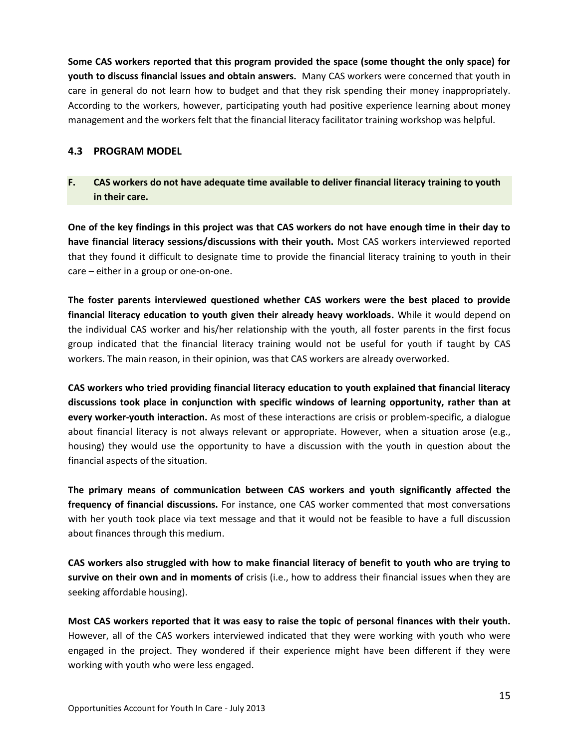**Some CAS workers reported that this program provided the space (some thought the only space) for youth to discuss financial issues and obtain answers.** Many CAS workers were concerned that youth in care in general do not learn how to budget and that they risk spending their money inappropriately. According to the workers, however, participating youth had positive experience learning about money management and the workers felt that the financial literacy facilitator training workshop was helpful.

### **4.3 PROGRAM MODEL**

# **F. CAS workers do not have adequate time available to deliver financial literacy training to youth in their care.**

**One of the key findings in this project was that CAS workers do not have enough time in their day to have financial literacy sessions/discussions with their youth.** Most CAS workers interviewed reported that they found it difficult to designate time to provide the financial literacy training to youth in their care – either in a group or one-on-one.

**The foster parents interviewed questioned whether CAS workers were the best placed to provide financial literacy education to youth given their already heavy workloads.** While it would depend on the individual CAS worker and his/her relationship with the youth, all foster parents in the first focus group indicated that the financial literacy training would not be useful for youth if taught by CAS workers. The main reason, in their opinion, was that CAS workers are already overworked.

**CAS workers who tried providing financial literacy education to youth explained that financial literacy discussions took place in conjunction with specific windows of learning opportunity, rather than at every worker-youth interaction.** As most of these interactions are crisis or problem-specific, a dialogue about financial literacy is not always relevant or appropriate. However, when a situation arose (e.g., housing) they would use the opportunity to have a discussion with the youth in question about the financial aspects of the situation.

**The primary means of communication between CAS workers and youth significantly affected the frequency of financial discussions.** For instance, one CAS worker commented that most conversations with her youth took place via text message and that it would not be feasible to have a full discussion about finances through this medium.

**CAS workers also struggled with how to make financial literacy of benefit to youth who are trying to survive on their own and in moments of** crisis (i.e., how to address their financial issues when they are seeking affordable housing).

**Most CAS workers reported that it was easy to raise the topic of personal finances with their youth.** However, all of the CAS workers interviewed indicated that they were working with youth who were engaged in the project. They wondered if their experience might have been different if they were working with youth who were less engaged.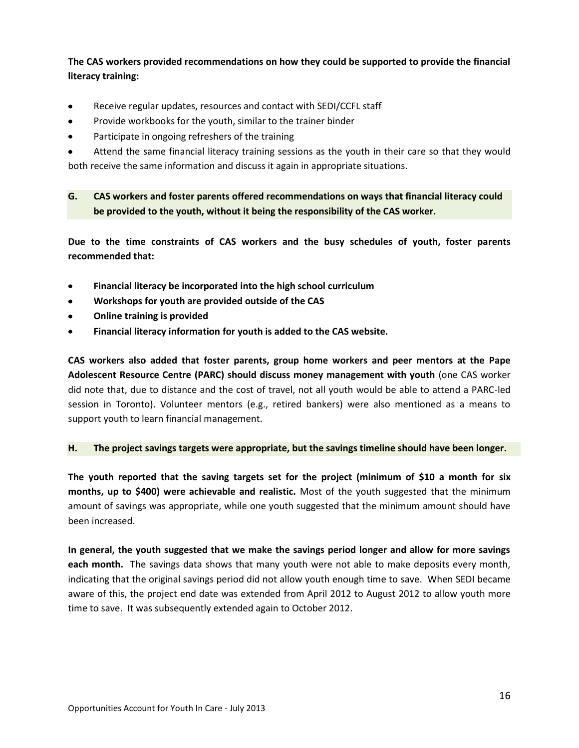**The CAS workers provided recommendations on how they could be supported to provide the financial literacy training:** 

- Receive regular updates, resources and contact with SEDI/CCFL staff  $\bullet$
- Provide workbooks for the youth, similar to the trainer binder  $\bullet$
- Participate in ongoing refreshers of the training  $\bullet$
- Attend the same financial literacy training sessions as the youth in their care so that they would both receive the same information and discuss it again in appropriate situations.

**G. CAS workers and foster parents offered recommendations on ways that financial literacy could be provided to the youth, without it being the responsibility of the CAS worker.**

**Due to the time constraints of CAS workers and the busy schedules of youth, foster parents recommended that:** 

- **Financial literacy be incorporated into the high school curriculum**   $\bullet$
- **Workshops for youth are provided outside of the CAS**   $\bullet$
- **Online training is provided**
- **Financial literacy information for youth is added to the CAS website.**

**CAS workers also added that foster parents, group home workers and peer mentors at the Pape Adolescent Resource Centre (PARC) should discuss money management with youth** (one CAS worker did note that, due to distance and the cost of travel, not all youth would be able to attend a PARC-led session in Toronto). Volunteer mentors (e.g., retired bankers) were also mentioned as a means to support youth to learn financial management.

### **H. The project savings targets were appropriate, but the savings timeline should have been longer.**

**The youth reported that the saving targets set for the project (minimum of \$10 a month for six months, up to \$400) were achievable and realistic.** Most of the youth suggested that the minimum amount of savings was appropriate, while one youth suggested that the minimum amount should have been increased.

**In general, the youth suggested that we make the savings period longer and allow for more savings each month.** The savings data shows that many youth were not able to make deposits every month, indicating that the original savings period did not allow youth enough time to save. When SEDI became aware of this, the project end date was extended from April 2012 to August 2012 to allow youth more time to save. It was subsequently extended again to October 2012.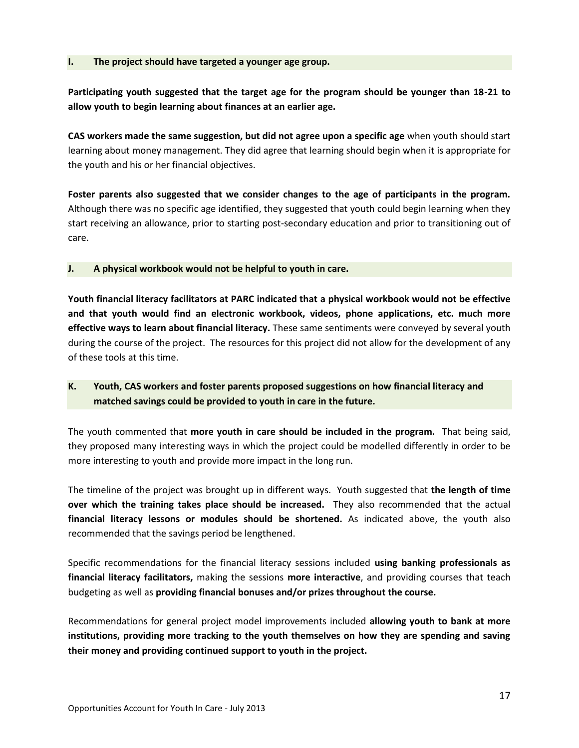### **I. The project should have targeted a younger age group.**

**Participating youth suggested that the target age for the program should be younger than 18-21 to allow youth to begin learning about finances at an earlier age.** 

**CAS workers made the same suggestion, but did not agree upon a specific age** when youth should start learning about money management. They did agree that learning should begin when it is appropriate for the youth and his or her financial objectives.

**Foster parents also suggested that we consider changes to the age of participants in the program.** Although there was no specific age identified, they suggested that youth could begin learning when they start receiving an allowance, prior to starting post-secondary education and prior to transitioning out of care.

### **J. A physical workbook would not be helpful to youth in care.**

**Youth financial literacy facilitators at PARC indicated that a physical workbook would not be effective and that youth would find an electronic workbook, videos, phone applications, etc. much more effective ways to learn about financial literacy.** These same sentiments were conveyed by several youth during the course of the project. The resources for this project did not allow for the development of any of these tools at this time.

# **K. Youth, CAS workers and foster parents proposed suggestions on how financial literacy and matched savings could be provided to youth in care in the future.**

The youth commented that **more youth in care should be included in the program.** That being said, they proposed many interesting ways in which the project could be modelled differently in order to be more interesting to youth and provide more impact in the long run.

The timeline of the project was brought up in different ways. Youth suggested that **the length of time over which the training takes place should be increased.** They also recommended that the actual **financial literacy lessons or modules should be shortened.** As indicated above, the youth also recommended that the savings period be lengthened.

Specific recommendations for the financial literacy sessions included **using banking professionals as financial literacy facilitators,** making the sessions **more interactive**, and providing courses that teach budgeting as well as **providing financial bonuses and/or prizes throughout the course.**

Recommendations for general project model improvements included **allowing youth to bank at more institutions, providing more tracking to the youth themselves on how they are spending and saving their money and providing continued support to youth in the project.**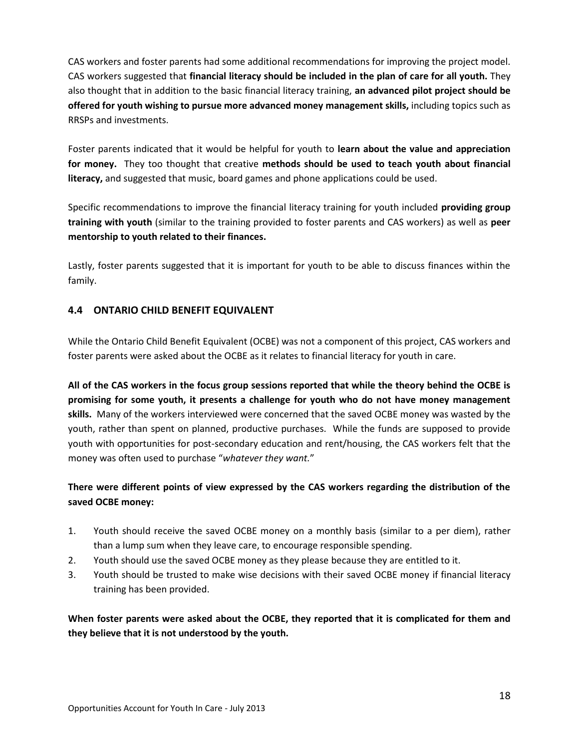CAS workers and foster parents had some additional recommendations for improving the project model. CAS workers suggested that **financial literacy should be included in the plan of care for all youth.** They also thought that in addition to the basic financial literacy training, **an advanced pilot project should be offered for youth wishing to pursue more advanced money management skills,** including topics such as RRSPs and investments.

Foster parents indicated that it would be helpful for youth to **learn about the value and appreciation for money.** They too thought that creative **methods should be used to teach youth about financial literacy,** and suggested that music, board games and phone applications could be used.

Specific recommendations to improve the financial literacy training for youth included **providing group training with youth** (similar to the training provided to foster parents and CAS workers) as well as **peer mentorship to youth related to their finances.**

Lastly, foster parents suggested that it is important for youth to be able to discuss finances within the family.

# **4.4 ONTARIO CHILD BENEFIT EQUIVALENT**

While the Ontario Child Benefit Equivalent (OCBE) was not a component of this project, CAS workers and foster parents were asked about the OCBE as it relates to financial literacy for youth in care.

**All of the CAS workers in the focus group sessions reported that while the theory behind the OCBE is promising for some youth, it presents a challenge for youth who do not have money management skills.** Many of the workers interviewed were concerned that the saved OCBE money was wasted by the youth, rather than spent on planned, productive purchases. While the funds are supposed to provide youth with opportunities for post-secondary education and rent/housing, the CAS workers felt that the money was often used to purchase "*whatever they want.*"

# **There were different points of view expressed by the CAS workers regarding the distribution of the saved OCBE money:**

- 1. Youth should receive the saved OCBE money on a monthly basis (similar to a per diem), rather than a lump sum when they leave care, to encourage responsible spending.
- 2. Youth should use the saved OCBE money as they please because they are entitled to it.
- 3. Youth should be trusted to make wise decisions with their saved OCBE money if financial literacy training has been provided.

**When foster parents were asked about the OCBE, they reported that it is complicated for them and they believe that it is not understood by the youth.**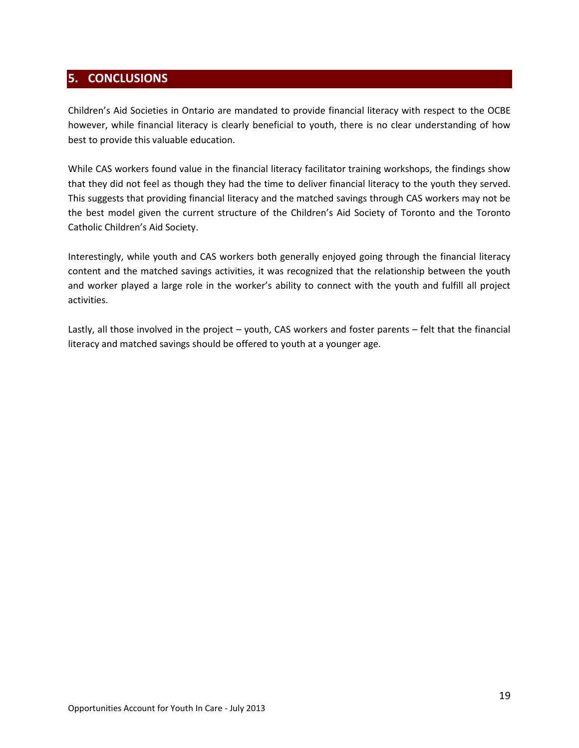# <span id="page-19-0"></span>**5. CONCLUSIONS**

Children's Aid Societies in Ontario are mandated to provide financial literacy with respect to the OCBE however, while financial literacy is clearly beneficial to youth, there is no clear understanding of how best to provide this valuable education.

While CAS workers found value in the financial literacy facilitator training workshops, the findings show that they did not feel as though they had the time to deliver financial literacy to the youth they served. This suggests that providing financial literacy and the matched savings through CAS workers may not be the best model given the current structure of the Children's Aid Society of Toronto and the Toronto Catholic Children's Aid Society.

Interestingly, while youth and CAS workers both generally enjoyed going through the financial literacy content and the matched savings activities, it was recognized that the relationship between the youth and worker played a large role in the worker's ability to connect with the youth and fulfill all project activities.

Lastly, all those involved in the project – youth, CAS workers and foster parents – felt that the financial literacy and matched savings should be offered to youth at a younger age.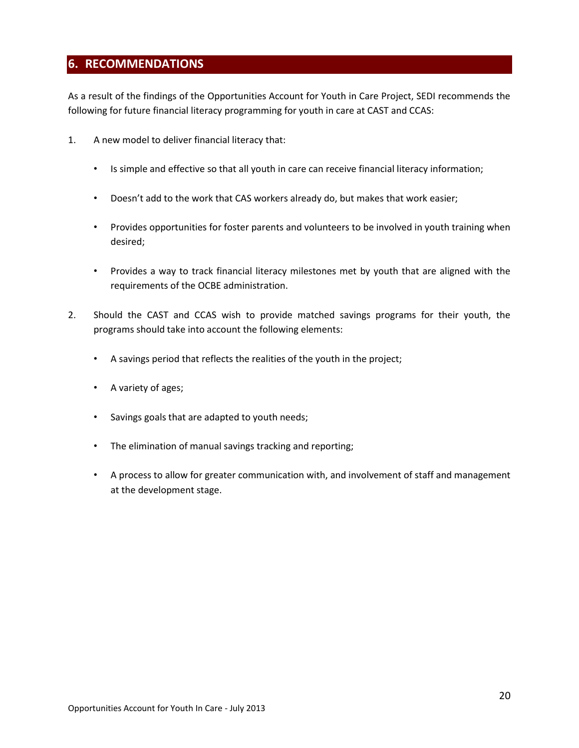# <span id="page-20-0"></span>**6. RECOMMENDATIONS**

As a result of the findings of the Opportunities Account for Youth in Care Project, SEDI recommends the following for future financial literacy programming for youth in care at CAST and CCAS:

- 1. A new model to deliver financial literacy that:
	- Is simple and effective so that all youth in care can receive financial literacy information;
	- Doesn't add to the work that CAS workers already do, but makes that work easier;
	- Provides opportunities for foster parents and volunteers to be involved in youth training when desired;
	- Provides a way to track financial literacy milestones met by youth that are aligned with the requirements of the OCBE administration.
- 2. Should the CAST and CCAS wish to provide matched savings programs for their youth, the programs should take into account the following elements:
	- A savings period that reflects the realities of the youth in the project;
	- A variety of ages;
	- Savings goals that are adapted to youth needs;
	- The elimination of manual savings tracking and reporting;
	- A process to allow for greater communication with, and involvement of staff and management at the development stage.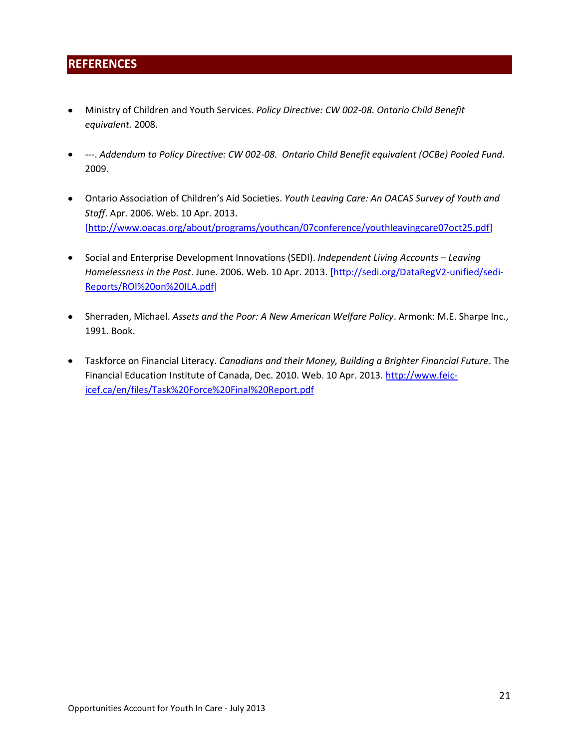# <span id="page-21-0"></span>**REFERENCES**

- Ministry of Children and Youth Services. *Policy Directive: CW 002-08. Ontario Child Benefit equivalent.* 2008.
- ---. *Addendum to Policy Directive: CW 002-08. Ontario Child Benefit equivalent (OCBe) Pooled Fund*. 2009.
- Ontario Association of Children's Aid Societies. *Youth Leaving Care: An OACAS Survey of Youth and Staff*. Apr. 2006. Web. 10 Apr. 2013. [\[http://www.oacas.org/about/programs/youthcan/07conference/youthleavingcare07oct25.pdf\]](http://www.oacas.org/about/programs/youthcan/07conference/youthleavingcare07oct25.pdf)
- Social and Enterprise Development Innovations (SEDI). *Independent Living Accounts – Leaving Homelessness in the Past*. June. 2006. Web. 10 Apr. 2013. [\[http://sedi.org/DataRegV2-unified/sedi-](http://sedi.org/DataRegV2-unified/sedi-Reports/ROI%20on%20ILA.pdf)[Reports/ROI%20on%20ILA.pdf\]](http://sedi.org/DataRegV2-unified/sedi-Reports/ROI%20on%20ILA.pdf)
- Sherraden, Michael. *Assets and the Poor: A New American Welfare Policy*. Armonk: M.E. Sharpe Inc., 1991. Book.
- Taskforce on Financial Literacy. *Canadians and their Money, Building a Brighter Financial Future*. The Financial Education Institute of Canada, Dec. 2010. Web. 10 Apr. 2013. [http://www.feic](http://www.feic-icef.ca/en/files/Task%20Force%20Final%20Report.pdf)[icef.ca/en/files/Task%20Force%20Final%20Report.pdf](http://www.feic-icef.ca/en/files/Task%20Force%20Final%20Report.pdf)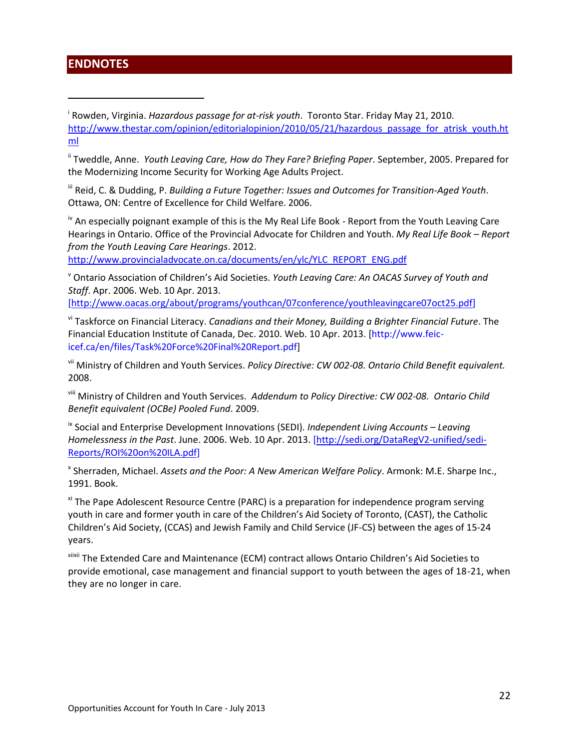# <span id="page-22-0"></span>**ENDNOTES**

 $\overline{a}$ 

i Rowden, Virginia. *Hazardous passage for at-risk youth*. Toronto Star. Friday May 21, 2010. [http://www.thestar.com/opinion/editorialopinion/2010/05/21/hazardous\\_passage\\_for\\_atrisk\\_youth.ht](http://www.thestar.com/opinion/editorialopinion/2010/05/21/hazardous_passage_for_atrisk_youth.html) [ml](http://www.thestar.com/opinion/editorialopinion/2010/05/21/hazardous_passage_for_atrisk_youth.html)

ii Tweddle, Anne. *Youth Leaving Care, How do They Fare? Briefing Paper*. September, 2005. Prepared for the Modernizing Income Security for Working Age Adults Project.

iii Reid, C. & Dudding, P. *Building a Future Together: Issues and Outcomes for Transition-Aged Youth*. Ottawa, ON: Centre of Excellence for Child Welfare. 2006.

<sup>iv</sup> An especially poignant example of this is the My Real Life Book - Report from the Youth Leaving Care Hearings in Ontario. Office of the Provincial Advocate for Children and Youth. *My Real Life Book – Report from the Youth Leaving Care Hearings*. 2012.

[http://www.provincialadvocate.on.ca/documents/en/ylc/YLC\\_REPORT\\_ENG.pdf](http://www.provincialadvocate.on.ca/documents/en/ylc/YLC_REPORT_ENG.pdf)

<sup>v</sup> Ontario Association of Children's Aid Societies. *Youth Leaving Care: An OACAS Survey of Youth and Staff*. Apr. 2006. Web. 10 Apr. 2013.

[\[http://www.oacas.org/about/programs/youthcan/07conference/youthleavingcare07oct25.pdf\]](http://www.oacas.org/about/programs/youthcan/07conference/youthleavingcare07oct25.pdf)

vi Taskforce on Financial Literacy. *Canadians and their Money, Building a Brighter Financial Future*. The Financial Education Institute of Canada, Dec. 2010. Web. 10 Apr. 2013. [http://www.feicicef.ca/en/files/Task%20Force%20Final%20Report.pdf]

vii Ministry of Children and Youth Services. *Policy Directive: CW 002-08. Ontario Child Benefit equivalent.*  2008.

viii Ministry of Children and Youth Services. *Addendum to Policy Directive: CW 002-08. Ontario Child Benefit equivalent (OCBe) Pooled Fund*. 2009.

ix Social and Enterprise Development Innovations (SEDI). *Independent Living Accounts – Leaving Homelessness in the Past*. June. 2006. Web. 10 Apr. 2013. [\[http://sedi.org/DataRegV2-unified/sedi-](http://sedi.org/DataRegV2-unified/sedi-Reports/ROI%20on%20ILA.pdf)[Reports/ROI%20on%20ILA.pdf\]](http://sedi.org/DataRegV2-unified/sedi-Reports/ROI%20on%20ILA.pdf)

x Sherraden, Michael. *Assets and the Poor: A New American Welfare Policy*. Armonk: M.E. Sharpe Inc., 1991. Book.

xi The Pape Adolescent Resource Centre (PARC) is a preparation for independence program serving youth in care and former youth in care of the Children's Aid Society of Toronto, (CAST), the Catholic Children's Aid Society, (CCAS) and Jewish Family and Child Service (JF-CS) between the ages of 15-24 years.

xiixii The Extended Care and Maintenance (ECM) contract allows Ontario Children's Aid Societies to provide emotional, case management and financial support to youth between the ages of 18-21, when they are no longer in care.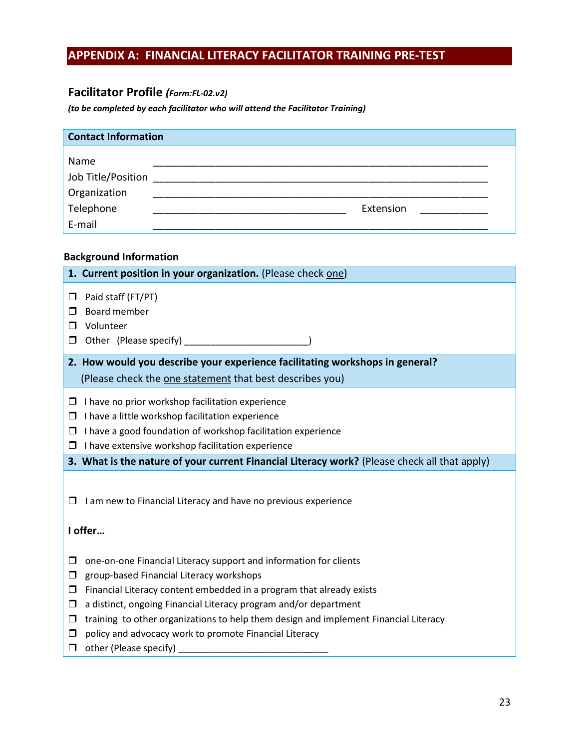# <span id="page-23-0"></span>**APPENDIX A: FINANCIAL LITERACY FACILITATOR TRAINING PRE-TEST**

# **Facilitator Profile** *(Form:FL-02.v2)*

*(to be completed by each facilitator who will attend the Facilitator Training)* 

| <b>Contact Information</b> |           |
|----------------------------|-----------|
| Name                       |           |
| Job Title/Position         |           |
| Organization               |           |
| Telephone                  | Extension |
| E-mail                     |           |

# **Background Information**

| 1. Current position in your organization. (Please check one)                                                                                                                                                                                                                                                                                                                                                                                                                            |
|-----------------------------------------------------------------------------------------------------------------------------------------------------------------------------------------------------------------------------------------------------------------------------------------------------------------------------------------------------------------------------------------------------------------------------------------------------------------------------------------|
| Paid staff (FT/PT)<br>$\Box$<br>Board member<br>П<br>Volunteer<br>п<br>□                                                                                                                                                                                                                                                                                                                                                                                                                |
| 2. How would you describe your experience facilitating workshops in general?                                                                                                                                                                                                                                                                                                                                                                                                            |
| (Please check the one statement that best describes you)                                                                                                                                                                                                                                                                                                                                                                                                                                |
| $\Box$ I have no prior workshop facilitation experience<br>I have a little workshop facilitation experience<br>□<br>I have a good foundation of workshop facilitation experience<br>$\Box$ I have extensive workshop facilitation experience                                                                                                                                                                                                                                            |
| 3. What is the nature of your current Financial Literacy work? (Please check all that apply)                                                                                                                                                                                                                                                                                                                                                                                            |
| I am new to Financial Literacy and have no previous experience<br>$\Box$<br>I offer                                                                                                                                                                                                                                                                                                                                                                                                     |
| one-on-one Financial Literacy support and information for clients<br>□<br>group-based Financial Literacy workshops<br>□<br>Financial Literacy content embedded in a program that already exists<br>$\Box$<br>a distinct, ongoing Financial Literacy program and/or department<br>□<br>training to other organizations to help them design and implement Financial Literacy<br>$\Box$<br>policy and advocacy work to promote Financial Literacy<br>◻<br>other (Please specify)<br>$\Box$ |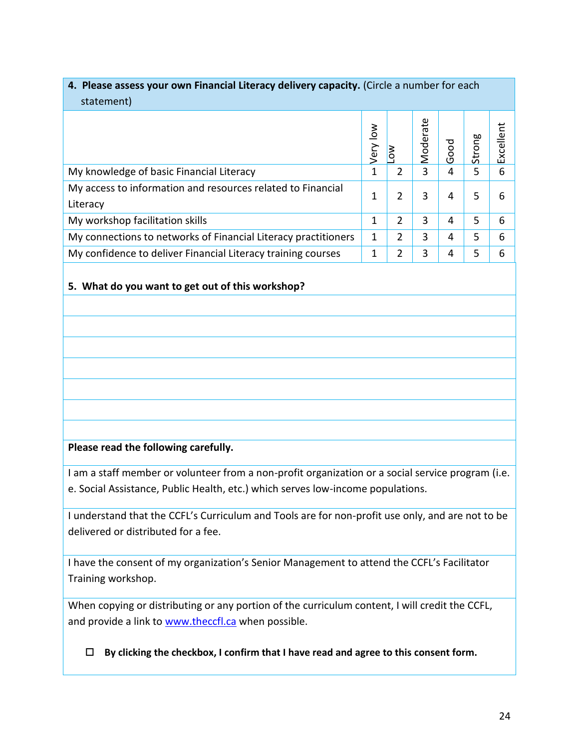# **4. Please assess your own Financial Literacy delivery capacity.** (Circle a number for each statement)

| 3000000000000                                                           |           |   |          |      |        |           |
|-------------------------------------------------------------------------|-----------|---|----------|------|--------|-----------|
|                                                                         | Š<br>Very |   | Moderate | Good | Strong | Excellent |
| My knowledge of basic Financial Literacy                                | 1         | 2 | 3        | 4    | 5      | 6         |
| My access to information and resources related to Financial<br>Literacy | 1         | 2 | 3        | 4    | 5      | հ         |
| My workshop facilitation skills                                         | 1         | 2 | 3        | 4    | 5      | 6         |
| My connections to networks of Financial Literacy practitioners          | 1         | 2 | 3        | 4    | 5      | 6         |
| My confidence to deliver Financial Literacy training courses            |           | 2 | 3        | 4    | 5      | 6         |

# **5. What do you want to get out of this workshop?**

# **Please read the following carefully.**

I am a staff member or volunteer from a non-profit organization or a social service program (i.e. e. Social Assistance, Public Health, etc.) which serves low-income populations.

I understand that the CCFL's Curriculum and Tools are for non-profit use only, and are not to be delivered or distributed for a fee.

I have the consent of my organization's Senior Management to attend the CCFL's Facilitator Training workshop.

When copying or distributing or any portion of the curriculum content, I will credit the CCFL, and provide a link to [www.theccfl.ca](http://www.theccfl.ca/) when possible.

**By clicking the checkbox, I confirm that I have read and agree to this consent form.**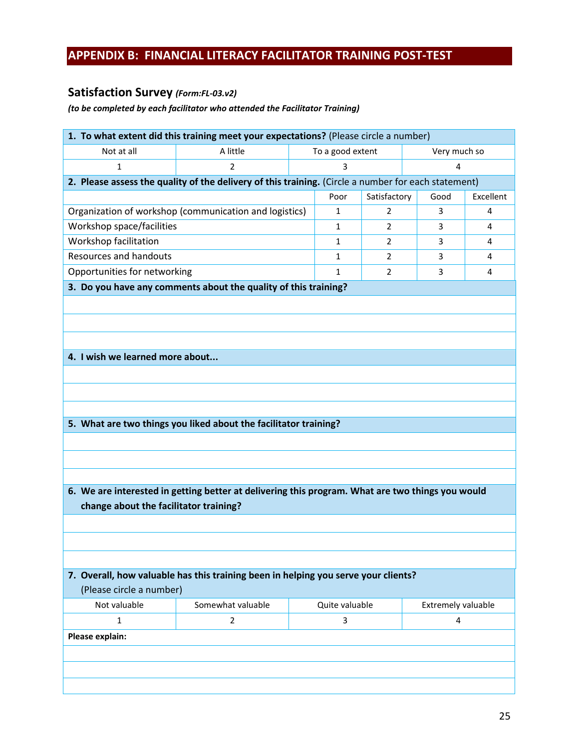# <span id="page-25-0"></span>**APPENDIX B: FINANCIAL LITERACY FACILITATOR TRAINING POST-TEST**

# **Satisfaction Survey** *(Form:FL-03.v2)*

# *(to be completed by each facilitator who attended the Facilitator Training)*

| 1. To what extent did this training meet your expectations? (Please circle a number) |                                                                                                     |  |                |                |                    |           |  |
|--------------------------------------------------------------------------------------|-----------------------------------------------------------------------------------------------------|--|----------------|----------------|--------------------|-----------|--|
| Not at all<br>A little<br>To a good extent<br>Very much so                           |                                                                                                     |  |                |                |                    |           |  |
| 1                                                                                    | $\overline{2}$                                                                                      |  | 3              |                |                    |           |  |
|                                                                                      | 2. Please assess the quality of the delivery of this training. (Circle a number for each statement) |  |                |                |                    |           |  |
|                                                                                      |                                                                                                     |  | Poor           | Satisfactory   | Good               | Excellent |  |
|                                                                                      | Organization of workshop (communication and logistics)                                              |  | 1              | 2              | 3                  | 4         |  |
| Workshop space/facilities                                                            |                                                                                                     |  | $\mathbf{1}$   | $\overline{2}$ | 3                  | 4         |  |
| Workshop facilitation                                                                |                                                                                                     |  | $\mathbf{1}$   | $\overline{2}$ | 3                  | 4         |  |
| <b>Resources and handouts</b>                                                        |                                                                                                     |  | $\mathbf{1}$   | 2              | 3                  | 4         |  |
| Opportunities for networking                                                         |                                                                                                     |  | 1              | 2              | 3                  | 4         |  |
|                                                                                      | 3. Do you have any comments about the quality of this training?                                     |  |                |                |                    |           |  |
|                                                                                      |                                                                                                     |  |                |                |                    |           |  |
|                                                                                      |                                                                                                     |  |                |                |                    |           |  |
|                                                                                      |                                                                                                     |  |                |                |                    |           |  |
| 4. I wish we learned more about                                                      |                                                                                                     |  |                |                |                    |           |  |
|                                                                                      |                                                                                                     |  |                |                |                    |           |  |
|                                                                                      |                                                                                                     |  |                |                |                    |           |  |
|                                                                                      |                                                                                                     |  |                |                |                    |           |  |
|                                                                                      |                                                                                                     |  |                |                |                    |           |  |
|                                                                                      | 5. What are two things you liked about the facilitator training?                                    |  |                |                |                    |           |  |
|                                                                                      |                                                                                                     |  |                |                |                    |           |  |
|                                                                                      |                                                                                                     |  |                |                |                    |           |  |
|                                                                                      |                                                                                                     |  |                |                |                    |           |  |
|                                                                                      | 6. We are interested in getting better at delivering this program. What are two things you would    |  |                |                |                    |           |  |
| change about the facilitator training?                                               |                                                                                                     |  |                |                |                    |           |  |
|                                                                                      |                                                                                                     |  |                |                |                    |           |  |
|                                                                                      |                                                                                                     |  |                |                |                    |           |  |
|                                                                                      |                                                                                                     |  |                |                |                    |           |  |
|                                                                                      | 7. Overall, how valuable has this training been in helping you serve your clients?                  |  |                |                |                    |           |  |
| (Please circle a number)                                                             |                                                                                                     |  |                |                |                    |           |  |
| Not valuable                                                                         | Somewhat valuable                                                                                   |  | Quite valuable |                | Extremely valuable |           |  |
| 1                                                                                    | 2                                                                                                   |  | 3              |                | 4                  |           |  |
|                                                                                      |                                                                                                     |  |                |                |                    |           |  |
|                                                                                      | Please explain:                                                                                     |  |                |                |                    |           |  |
|                                                                                      |                                                                                                     |  |                |                |                    |           |  |
|                                                                                      |                                                                                                     |  |                |                |                    |           |  |
|                                                                                      |                                                                                                     |  |                |                |                    |           |  |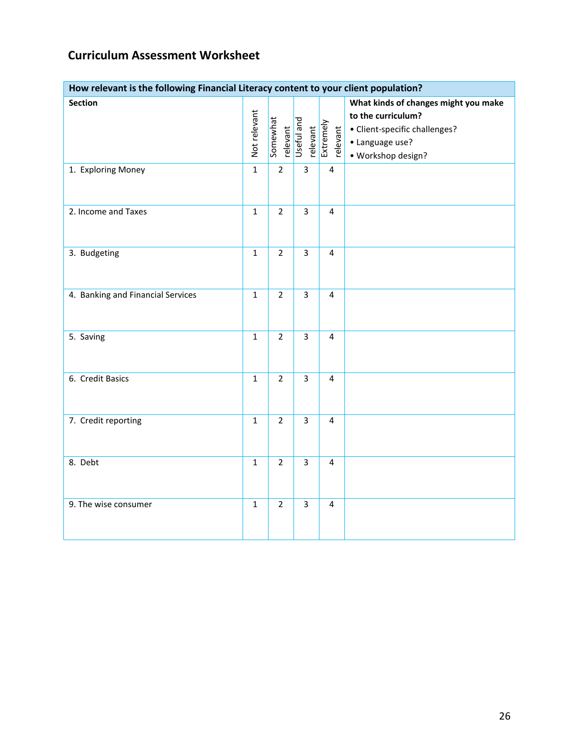# **Curriculum Assessment Worksheet**

| How relevant is the following Financial Literacy content to your client population? |              |                      |                                     |                         |                                                                                                                                      |  |  |  |
|-------------------------------------------------------------------------------------|--------------|----------------------|-------------------------------------|-------------------------|--------------------------------------------------------------------------------------------------------------------------------------|--|--|--|
| <b>Section</b>                                                                      | Not relevant | Somewhat<br>relevant | Useful and<br>relevant<br>Extremely | relevant                | What kinds of changes might you make<br>to the curriculum?<br>• Client-specific challenges?<br>• Language use?<br>· Workshop design? |  |  |  |
| 1. Exploring Money                                                                  | $\mathbf{1}$ | $\overline{2}$       | $\overline{3}$                      | $\overline{4}$          |                                                                                                                                      |  |  |  |
| 2. Income and Taxes                                                                 | $\mathbf{1}$ | $\overline{2}$       | $\overline{3}$                      | $\overline{4}$          |                                                                                                                                      |  |  |  |
| 3. Budgeting                                                                        | $\mathbf{1}$ | $\overline{2}$       | $\overline{3}$                      | $\overline{4}$          |                                                                                                                                      |  |  |  |
| 4. Banking and Financial Services                                                   | $\mathbf{1}$ | $\overline{2}$       | $\overline{3}$                      | $\overline{4}$          |                                                                                                                                      |  |  |  |
| 5. Saving                                                                           | $\mathbf{1}$ | $\overline{2}$       | $\overline{3}$                      | 4                       |                                                                                                                                      |  |  |  |
| 6. Credit Basics                                                                    | $\mathbf{1}$ | $\overline{2}$       | $\overline{3}$                      | 4                       |                                                                                                                                      |  |  |  |
| 7. Credit reporting                                                                 | $\mathbf{1}$ | $\overline{2}$       | $\overline{3}$                      | 4                       |                                                                                                                                      |  |  |  |
| 8. Debt                                                                             | $\mathbf{1}$ | $\overline{2}$       | $\overline{3}$                      | $\overline{\mathbf{4}}$ |                                                                                                                                      |  |  |  |
| 9. The wise consumer                                                                | $\mathbf{1}$ | $\overline{2}$       | $\overline{3}$                      | $\overline{4}$          |                                                                                                                                      |  |  |  |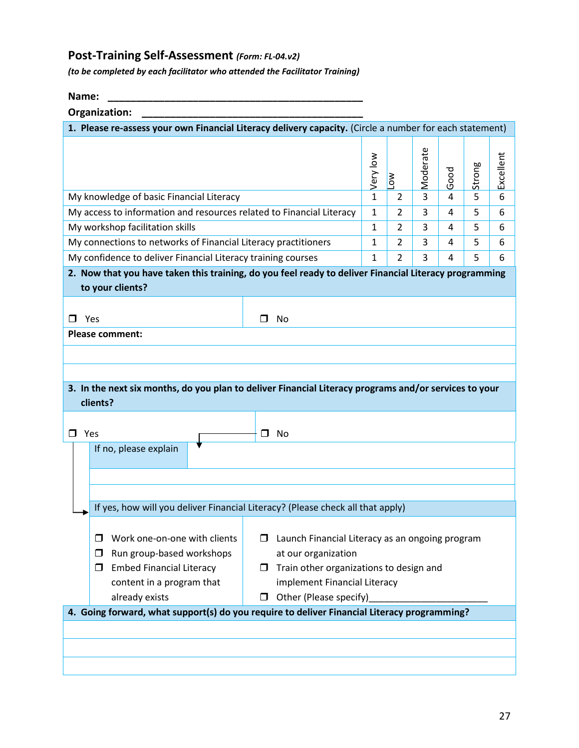# **Post-Training Self-Assessment** *(Form: FL-04.v2)*

*(to be completed by each facilitator who attended the Facilitator Training)* 

**Name: \_\_\_\_\_\_\_\_\_\_\_\_\_\_\_\_\_\_\_\_\_\_\_\_\_\_\_\_\_\_\_\_\_\_\_\_\_\_\_\_\_\_\_\_\_** 

| Organization: |  |  |
|---------------|--|--|

| Organization:                                                                                            |              |                       |          |      |        |           |  |
|----------------------------------------------------------------------------------------------------------|--------------|-----------------------|----------|------|--------|-----------|--|
| 1. Please re-assess your own Financial Literacy delivery capacity. (Circle a number for each statement)  |              |                       |          |      |        |           |  |
|                                                                                                          | Very low     | $\sum_{i=1}^{\infty}$ | Moderate | Good | Strong | Excellent |  |
| My knowledge of basic Financial Literacy                                                                 | $\mathbf{1}$ | 2                     | 3        | 4    | 5      | 6         |  |
| My access to information and resources related to Financial Literacy                                     | 1            | $\overline{2}$        | 3        | 4    | 5      | 6         |  |
| My workshop facilitation skills                                                                          | 1            | 2                     | 3        | 4    | 5      | 6         |  |
| My connections to networks of Financial Literacy practitioners                                           | 1            | $\overline{2}$        | 3        | 4    | 5      | 6         |  |
| My confidence to deliver Financial Literacy training courses                                             | 1            | $\overline{2}$        | 3        | 4    | 5      | 6         |  |
| 2. Now that you have taken this training, do you feel ready to deliver Financial Literacy programming    |              |                       |          |      |        |           |  |
| to your clients?                                                                                         |              |                       |          |      |        |           |  |
|                                                                                                          |              |                       |          |      |        |           |  |
| Yes<br>□ No<br>П.                                                                                        |              |                       |          |      |        |           |  |
| <b>Please comment:</b>                                                                                   |              |                       |          |      |        |           |  |
|                                                                                                          |              |                       |          |      |        |           |  |
|                                                                                                          |              |                       |          |      |        |           |  |
| 3. In the next six months, do you plan to deliver Financial Literacy programs and/or services to your    |              |                       |          |      |        |           |  |
| clients?                                                                                                 |              |                       |          |      |        |           |  |
|                                                                                                          |              |                       |          |      |        |           |  |
| $\Box$ Yes<br>$\square$ No                                                                               |              |                       |          |      |        |           |  |
| If no, please explain                                                                                    |              |                       |          |      |        |           |  |
|                                                                                                          |              |                       |          |      |        |           |  |
|                                                                                                          |              |                       |          |      |        |           |  |
| If yes, how will you deliver Financial Literacy? (Please check all that apply)                           |              |                       |          |      |        |           |  |
|                                                                                                          |              |                       |          |      |        |           |  |
| Work one-on-one with clients<br>□                                                                        |              |                       |          |      |        |           |  |
| Launch Financial Literacy as an ongoing program<br>Run group-based workshops<br>at our organization<br>□ |              |                       |          |      |        |           |  |
| <b>Embed Financial Literacy</b><br>Train other organizations to design and<br>□                          |              |                       |          |      |        |           |  |
| implement Financial Literacy<br>content in a program that                                                |              |                       |          |      |        |           |  |
| Other (Please specify)<br>already exists                                                                 |              |                       |          |      |        |           |  |
| 4. Going forward, what support(s) do you require to deliver Financial Literacy programming?              |              |                       |          |      |        |           |  |
|                                                                                                          |              |                       |          |      |        |           |  |
|                                                                                                          |              |                       |          |      |        |           |  |
|                                                                                                          |              |                       |          |      |        |           |  |
|                                                                                                          |              |                       |          |      |        |           |  |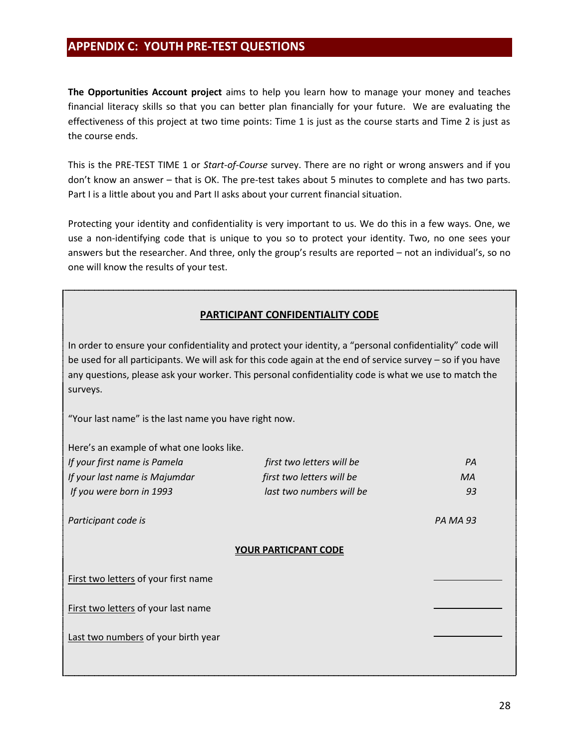# <span id="page-28-0"></span>**APPENDIX C: YOUTH PRE-TEST QUESTIONS**

**The Opportunities Account project** aims to help you learn how to manage your money and teaches financial literacy skills so that you can better plan financially for your future. We are evaluating the effectiveness of this project at two time points: Time 1 is just as the course starts and Time 2 is just as the course ends.

This is the PRE-TEST TIME 1 or *Start-of-Course* survey. There are no right or wrong answers and if you don't know an answer – that is OK. The pre-test takes about 5 minutes to complete and has two parts. Part I is a little about you and Part II asks about your current financial situation.

Protecting your identity and confidentiality is very important to us. We do this in a few ways. One, we use a non-identifying code that is unique to you so to protect your identity. Two, no one sees your answers but the researcher. And three, only the group's results are reported – not an individual's, so no one will know the results of your test.

# **PARTICIPANT CONFIDENTIALITY CODE**

In order to ensure your confidentiality and protect your identity, a "personal confidentiality" code will be used for all participants. We will ask for this code again at the end of service survey – so if you have any questions, please ask your worker. This personal confidentiality code is what we use to match the surveys.

"Your last name" is the last name you have right now.

| Here's an example of what one looks like. |                           |    |  |  |  |  |
|-------------------------------------------|---------------------------|----|--|--|--|--|
| If your first name is Pamela              | PA                        |    |  |  |  |  |
| If your last name is Majumdar             | first two letters will be | МA |  |  |  |  |
| If you were born in 1993                  | last two numbers will be  | 93 |  |  |  |  |
| Participant code is                       | <b>PA MA 93</b>           |    |  |  |  |  |
| <b>YOUR PARTICPANT CODE</b>               |                           |    |  |  |  |  |
| First two letters of your first name      |                           |    |  |  |  |  |
| First two letters of your last name       |                           |    |  |  |  |  |
| Last two numbers of your birth year       |                           |    |  |  |  |  |
|                                           |                           |    |  |  |  |  |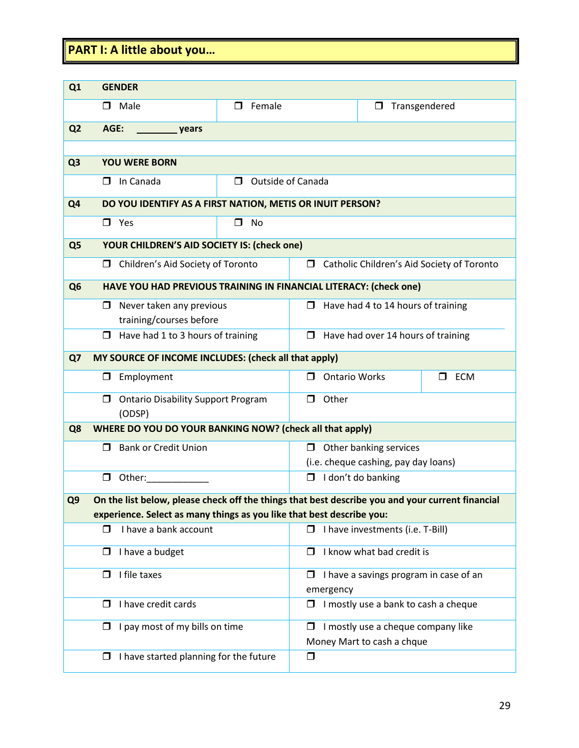# **PART I: A little about you…**

| Q <sub>1</sub> | <b>GENDER</b>                                                                                    |                               |                           |                                      |                                            |
|----------------|--------------------------------------------------------------------------------------------------|-------------------------------|---------------------------|--------------------------------------|--------------------------------------------|
|                | $\Box$ Male                                                                                      | ⊓<br>Female                   |                           | $\Box$                               | Transgendered                              |
| Q <sub>2</sub> | AGE:<br>_ years                                                                                  |                               |                           |                                      |                                            |
|                |                                                                                                  |                               |                           |                                      |                                            |
| Q <sub>3</sub> | <b>YOU WERE BORN</b>                                                                             |                               |                           |                                      |                                            |
|                | In Canada<br>□                                                                                   | <b>Outside of Canada</b><br>п |                           |                                      |                                            |
| Q <sub>4</sub> | DO YOU IDENTIFY AS A FIRST NATION, METIS OR INUIT PERSON?                                        |                               |                           |                                      |                                            |
|                | $\square$ Yes                                                                                    | $\Box$<br><b>No</b>           |                           |                                      |                                            |
| Q <sub>5</sub> | YOUR CHILDREN'S AID SOCIETY IS: (check one)                                                      |                               |                           |                                      |                                            |
|                | Children's Aid Society of Toronto<br>□                                                           |                               | $\Box$                    |                                      | Catholic Children's Aid Society of Toronto |
| Q <sub>6</sub> | HAVE YOU HAD PREVIOUS TRAINING IN FINANCIAL LITERACY: (check one)                                |                               |                           |                                      |                                            |
|                | Never taken any previous<br>0                                                                    |                               | □                         | Have had 4 to 14 hours of training   |                                            |
|                | training/courses before                                                                          |                               |                           |                                      |                                            |
|                | $\Box$ Have had 1 to 3 hours of training                                                         |                               | $\Box$                    | Have had over 14 hours of training   |                                            |
| Q7             | MY SOURCE OF INCOME INCLUDES: (check all that apply)                                             |                               |                           |                                      |                                            |
|                | Employment<br>0                                                                                  |                               | <b>Ontario Works</b><br>⊓ |                                      | $\Box$<br><b>ECM</b>                       |
|                | <b>Ontario Disability Support Program</b><br>$\Box$<br>(ODSP)                                    |                               | $\Box$<br>Other           |                                      |                                            |
| Q8             | WHERE DO YOU DO YOUR BANKING NOW? (check all that apply)                                         |                               |                           |                                      |                                            |
|                | <b>Bank or Credit Union</b><br>П.                                                                |                               | □                         | Other banking services               |                                            |
|                |                                                                                                  |                               |                           | (i.e. cheque cashing, pay day loans) |                                            |
|                | $\Box$<br>Other:                                                                                 |                               | $\Box$                    | I don't do banking                   |                                            |
| Q <sub>9</sub> | On the list below, please check off the things that best describe you and your current financial |                               |                           |                                      |                                            |
|                | experience. Select as many things as you like that best describe you:                            |                               |                           |                                      |                                            |
|                | I have a bank account<br>Ω                                                                       |                               | $\Box$                    | I have investments (i.e. T-Bill)     |                                            |
|                | I have a budget<br>$\Box$                                                                        |                               | П                         | I know what bad credit is            |                                            |
|                | I file taxes<br>□                                                                                |                               | □<br>emergency            |                                      | I have a savings program in case of an     |
|                | I have credit cards<br>□                                                                         |                               | □                         | I mostly use a bank to cash a cheque |                                            |
|                | I pay most of my bills on time<br>□                                                              |                               | ◻                         | I mostly use a cheque company like   |                                            |
|                |                                                                                                  |                               |                           | Money Mart to cash a chque           |                                            |
|                | $\Box$ I have started planning for the future                                                    |                               | □                         |                                      |                                            |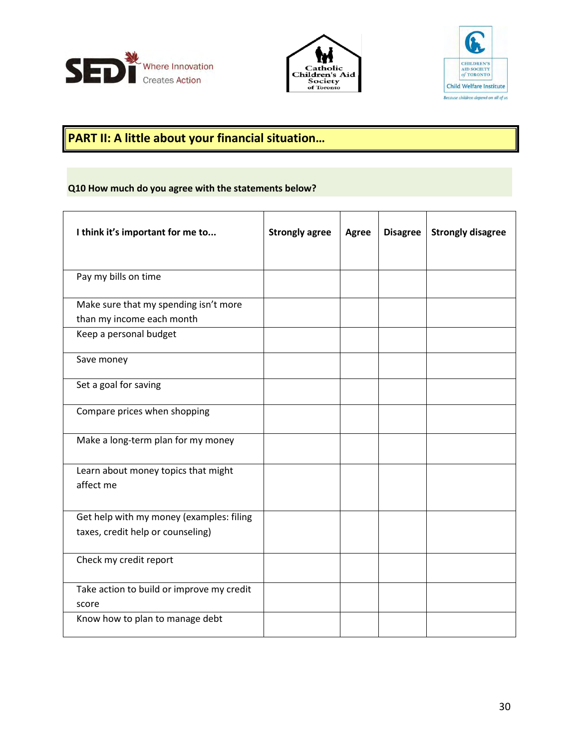





# **PART II: A little about your financial situation…**

# **Q10 How much do you agree with the statements below?**

| I think it's important for me to                                              | <b>Strongly agree</b> | <b>Agree</b> | <b>Disagree</b> | <b>Strongly disagree</b> |
|-------------------------------------------------------------------------------|-----------------------|--------------|-----------------|--------------------------|
| Pay my bills on time                                                          |                       |              |                 |                          |
| Make sure that my spending isn't more                                         |                       |              |                 |                          |
| than my income each month                                                     |                       |              |                 |                          |
| Keep a personal budget                                                        |                       |              |                 |                          |
| Save money                                                                    |                       |              |                 |                          |
| Set a goal for saving                                                         |                       |              |                 |                          |
| Compare prices when shopping                                                  |                       |              |                 |                          |
| Make a long-term plan for my money                                            |                       |              |                 |                          |
| Learn about money topics that might<br>affect me                              |                       |              |                 |                          |
| Get help with my money (examples: filing<br>taxes, credit help or counseling) |                       |              |                 |                          |
| Check my credit report                                                        |                       |              |                 |                          |
| Take action to build or improve my credit<br>score                            |                       |              |                 |                          |
| Know how to plan to manage debt                                               |                       |              |                 |                          |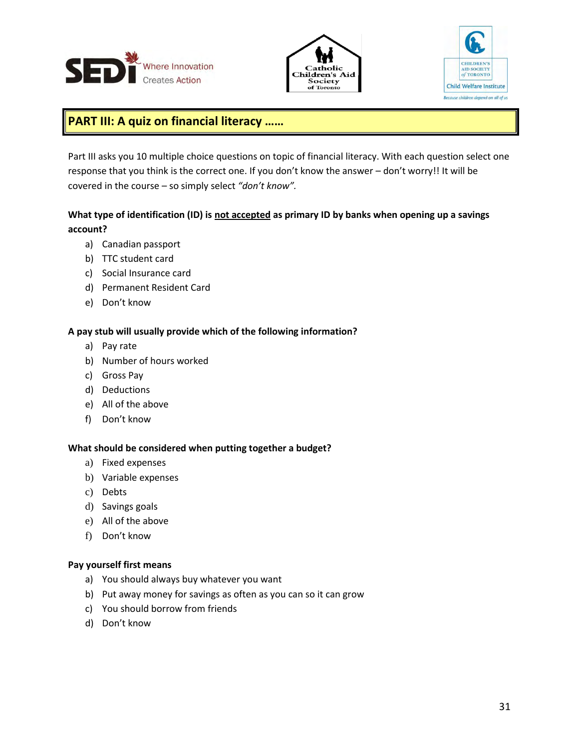





# **PART III: A quiz on financial literacy ……**

Part III asks you 10 multiple choice questions on topic of financial literacy. With each question select one response that you think is the correct one. If you don't know the answer – don't worry!! It will be covered in the course – so simply select *"don't know".*

# What type of identification (ID) is not accepted as primary ID by banks when opening up a savings **account?**

- a) Canadian passport
- b) TTC student card
- c) Social Insurance card
- d) Permanent Resident Card
- e) Don't know

### **A pay stub will usually provide which of the following information?**

- a) Pay rate
- b) Number of hours worked
- c) Gross Pay
- d) Deductions
- e) All of the above
- f) Don't know

### **What should be considered when putting together a budget?**

- a) Fixed expenses
- b) Variable expenses
- c) Debts
- d) Savings goals
- e) All of the above
- f) Don't know

### **Pay yourself first means**

- a) You should always buy whatever you want
- b) Put away money for savings as often as you can so it can grow
- c) You should borrow from friends
- d) Don't know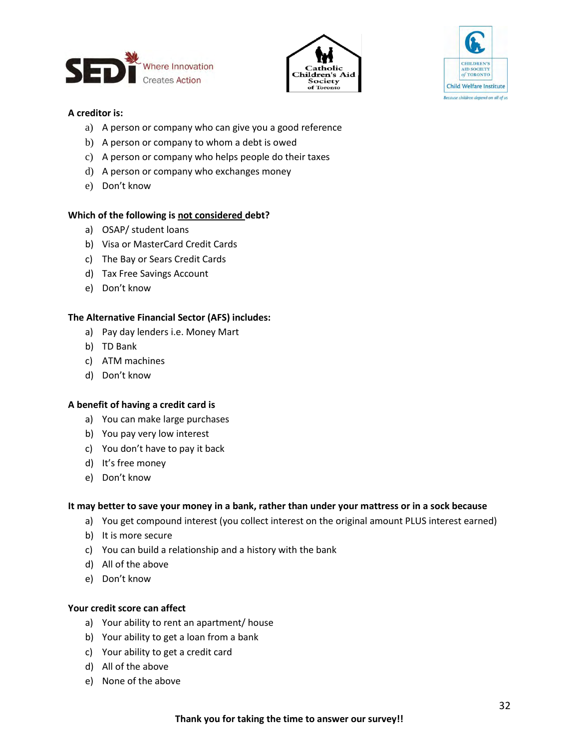





### **A creditor is:**

- a) A person or company who can give you a good reference
- b) A person or company to whom a debt is owed
- c) A person or company who helps people do their taxes
- d) A person or company who exchanges money
- e) Don't know

### **Which of the following is not considered debt?**

- a) OSAP/ student loans
- b) Visa or MasterCard Credit Cards
- c) The Bay or Sears Credit Cards
- d) Tax Free Savings Account
- e) Don't know

### **The Alternative Financial Sector (AFS) includes:**

- a) Pay day lenders i.e. Money Mart
- b) TD Bank
- c) ATM machines
- d) Don't know

### **A benefit of having a credit card is**

- a) You can make large purchases
- b) You pay very low interest
- c) You don't have to pay it back
- d) It's free money
- e) Don't know

### **It may better to save your money in a bank, rather than under your mattress or in a sock because**

- a) You get compound interest (you collect interest on the original amount PLUS interest earned)
- b) It is more secure
- c) You can build a relationship and a history with the bank
- d) All of the above
- e) Don't know

### **Your credit score can affect**

- a) Your ability to rent an apartment/ house
- b) Your ability to get a loan from a bank
- c) Your ability to get a credit card
- d) All of the above
- e) None of the above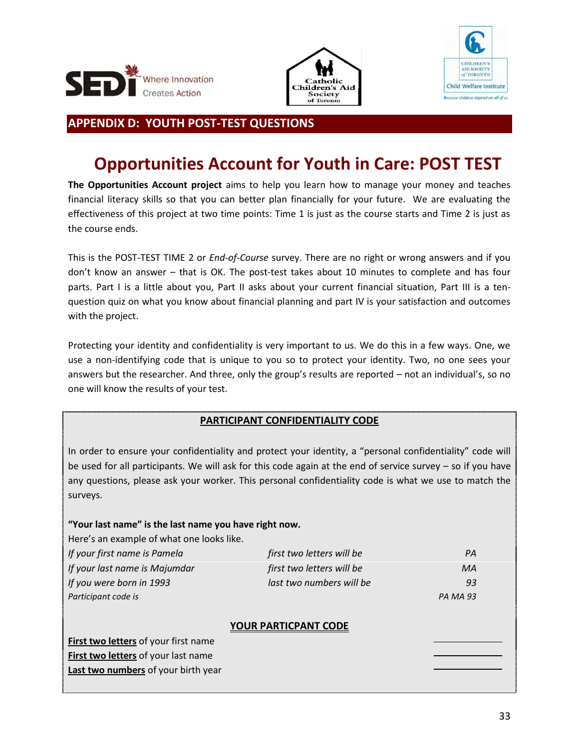





# <span id="page-33-0"></span>**APPENDIX D: YOUTH POST-TEST QUESTIONS**

# **Opportunities Account for Youth in Care: POST TEST**

**The Opportunities Account project** aims to help you learn how to manage your money and teaches financial literacy skills so that you can better plan financially for your future. We are evaluating the effectiveness of this project at two time points: Time 1 is just as the course starts and Time 2 is just as the course ends.

This is the POST-TEST TIME 2 or *End-of-Course* survey. There are no right or wrong answers and if you don't know an answer – that is OK. The post-test takes about 10 minutes to complete and has four parts. Part I is a little about you, Part II asks about your current financial situation, Part III is a tenquestion quiz on what you know about financial planning and part IV is your satisfaction and outcomes with the project.

Protecting your identity and confidentiality is very important to us. We do this in a few ways. One, we use a non-identifying code that is unique to you so to protect your identity. Two, no one sees your answers but the researcher. And three, only the group's results are reported – not an individual's, so no one will know the results of your test.

# **PARTICIPANT CONFIDENTIALITY CODE**

In order to ensure your confidentiality and protect your identity, a "personal confidentiality" code will be used for all participants. We will ask for this code again at the end of service survey – so if you have any questions, please ask your worker. This personal confidentiality code is what we use to match the surveys.

# **"Your last name" is the last name you have right now.**

**Last two numbers** of your birth year

| Here's an example of what one looks like.  |                             |                 |
|--------------------------------------------|-----------------------------|-----------------|
| If your first name is Pamela               | first two letters will be   | PA              |
| If your last name is Majumdar              | first two letters will be   | MA              |
| If you were born in 1993                   | last two numbers will be    | 93              |
| Participant code is                        |                             | <b>PA MA 93</b> |
|                                            |                             |                 |
|                                            | <b>YOUR PARTICPANT CODE</b> |                 |
| First two letters of your first name       |                             |                 |
| <b>First two letters of your last name</b> |                             |                 |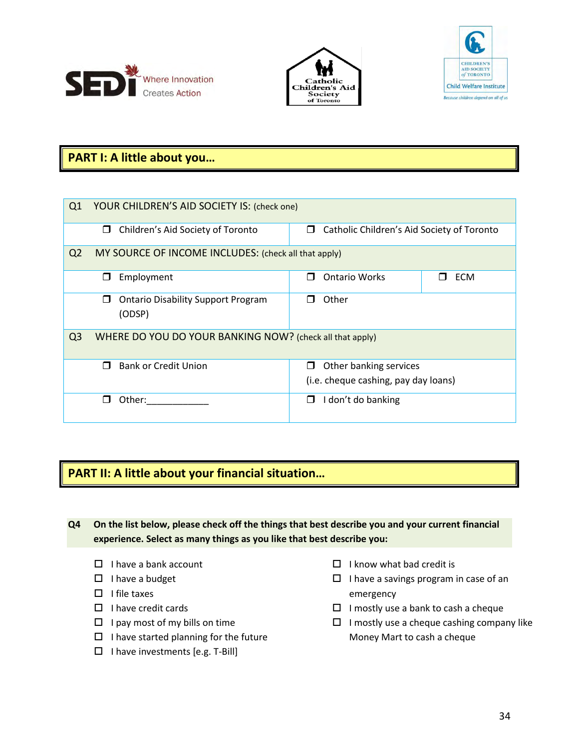





# **PART I: A little about you…**

| Q1             | YOUR CHILDREN'S AID SOCIETY IS: (check one)              |                                                 |  |  |  |  |  |  |  |
|----------------|----------------------------------------------------------|-------------------------------------------------|--|--|--|--|--|--|--|
|                | Children's Aid Society of Toronto<br>$\Box$              | Catholic Children's Aid Society of Toronto<br>□ |  |  |  |  |  |  |  |
| Q <sub>2</sub> | MY SOURCE OF INCOME INCLUDES: (check all that apply)     |                                                 |  |  |  |  |  |  |  |
|                | Employment<br>⊓                                          | <b>Ontario Works</b><br><b>ECM</b>              |  |  |  |  |  |  |  |
|                | <b>Ontario Disability Support Program</b><br>П<br>(ODSP) | Other                                           |  |  |  |  |  |  |  |
| Q <sub>3</sub> | WHERE DO YOU DO YOUR BANKING NOW? (check all that apply) |                                                 |  |  |  |  |  |  |  |
|                | <b>Bank or Credit Union</b><br>□                         | Other banking services<br>П                     |  |  |  |  |  |  |  |
|                | (i.e. cheque cashing, pay day loans)                     |                                                 |  |  |  |  |  |  |  |
|                | Other:                                                   | don't do banking<br>П                           |  |  |  |  |  |  |  |

# **PART II: A little about your financial situation…**

**Q4 On the list below, please check off the things that best describe you and your current financial experience. Select as many things as you like that best describe you:**

- $\Box$  I have a bank account
- $\Box$  I have a budget
- $\Box$  I file taxes
- $\Box$  I have credit cards
- $\Box$  I pay most of my bills on time
- $\Box$  I have started planning for the future
- $\Box$  I have investments [e.g. T-Bill]
- $\Box$  I know what bad credit is
- $\Box$  I have a savings program in case of an emergency
- $\Box$  I mostly use a bank to cash a cheque
- $\Box$  I mostly use a cheque cashing company like Money Mart to cash a cheque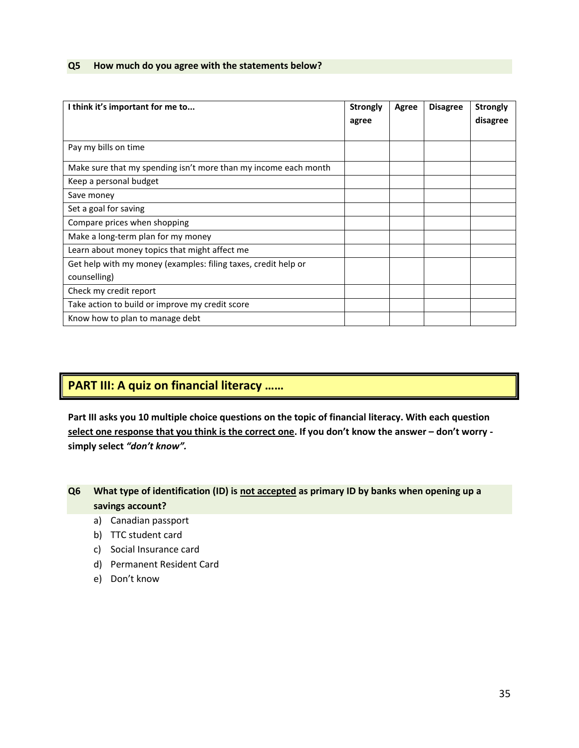### **Q5 How much do you agree with the statements below?**

| I think it's important for me to                                | <b>Strongly</b> | Agree | <b>Disagree</b> | <b>Strongly</b> |
|-----------------------------------------------------------------|-----------------|-------|-----------------|-----------------|
|                                                                 | agree           |       |                 | disagree        |
|                                                                 |                 |       |                 |                 |
| Pay my bills on time                                            |                 |       |                 |                 |
| Make sure that my spending isn't more than my income each month |                 |       |                 |                 |
| Keep a personal budget                                          |                 |       |                 |                 |
| Save money                                                      |                 |       |                 |                 |
| Set a goal for saving                                           |                 |       |                 |                 |
| Compare prices when shopping                                    |                 |       |                 |                 |
| Make a long-term plan for my money                              |                 |       |                 |                 |
| Learn about money topics that might affect me                   |                 |       |                 |                 |
| Get help with my money (examples: filing taxes, credit help or  |                 |       |                 |                 |
| counselling)                                                    |                 |       |                 |                 |
| Check my credit report                                          |                 |       |                 |                 |
| Take action to build or improve my credit score                 |                 |       |                 |                 |
| Know how to plan to manage debt                                 |                 |       |                 |                 |

# **PART III: A quiz on financial literacy ……**

**Part III asks you 10 multiple choice questions on the topic of financial literacy. With each question select one response that you think is the correct one. If you don't know the answer – don't worry simply select** *"don't know".*

# **Q6 What type of identification (ID) is not accepted as primary ID by banks when opening up a savings account?**

- a) Canadian passport
- b) TTC student card
- c) Social Insurance card
- d) Permanent Resident Card
- e) Don't know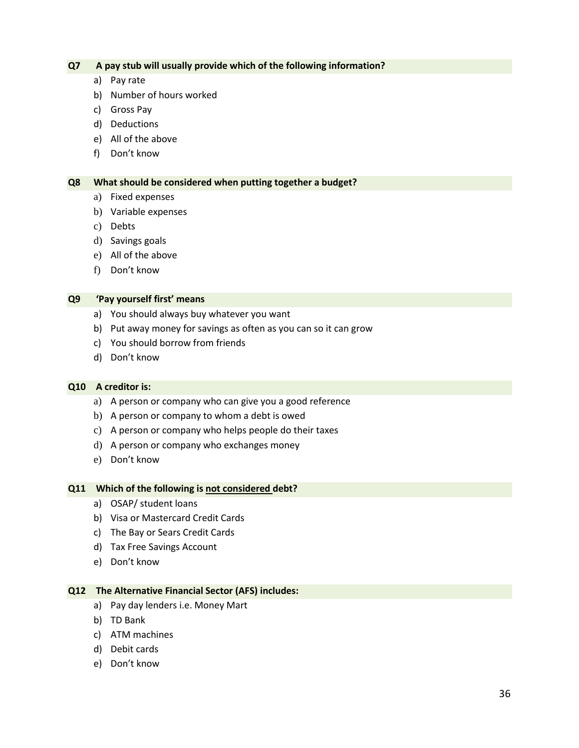### **Q7 A pay stub will usually provide which of the following information?**

- a) Pay rate
- b) Number of hours worked
- c) Gross Pay
- d) Deductions
- e) All of the above
- f) Don't know

### **Q8 What should be considered when putting together a budget?**

- a) Fixed expenses
- b) Variable expenses
- c) Debts
- d) Savings goals
- e) All of the above
- f) Don't know

### **Q9 'Pay yourself first' means**

- a) You should always buy whatever you want
- b) Put away money for savings as often as you can so it can grow
- c) You should borrow from friends
- d) Don't know

### **Q10 A creditor is:**

- a) A person or company who can give you a good reference
- b) A person or company to whom a debt is owed
- c) A person or company who helps people do their taxes
- d) A person or company who exchanges money
- e) Don't know

### **Q11 Which of the following is not considered debt?**

- a) OSAP/ student loans
- b) Visa or Mastercard Credit Cards
- c) The Bay or Sears Credit Cards
- d) Tax Free Savings Account
- e) Don't know

### **Q12 The Alternative Financial Sector (AFS) includes:**

- a) Pay day lenders i.e. Money Mart
- b) TD Bank
- c) ATM machines
- d) Debit cards
- e) Don't know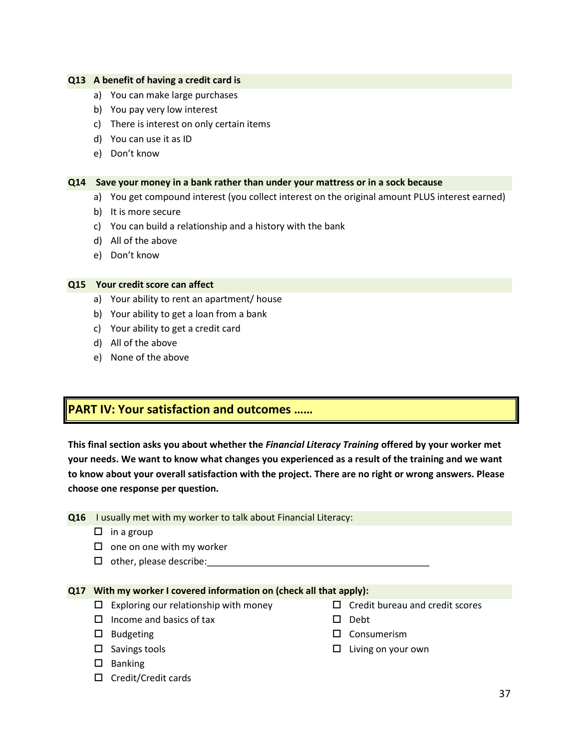### **Q13 A benefit of having a credit card is**

- a) You can make large purchases
- b) You pay very low interest
- c) There is interest on only certain items
- d) You can use it as ID
- e) Don't know

### **Q14 Save your money in a bank rather than under your mattress or in a sock because**

- a) You get compound interest (you collect interest on the original amount PLUS interest earned)
- b) It is more secure
- c) You can build a relationship and a history with the bank
- d) All of the above
- e) Don't know

### **Q15 Your credit score can affect**

- a) Your ability to rent an apartment/ house
- b) Your ability to get a loan from a bank
- c) Your ability to get a credit card
- d) All of the above
- e) None of the above

# **PART IV: Your satisfaction and outcomes ……**

**This final section asks you about whether the** *Financial Literacy Training* **offered by your worker met your needs. We want to know what changes you experienced as a result of the training and we want to know about your overall satisfaction with the project. There are no right or wrong answers. Please choose one response per question.** 

|  |  | Q16 I usually met with my worker to talk about Financial Literacy: |  |  |  |  |
|--|--|--------------------------------------------------------------------|--|--|--|--|
|--|--|--------------------------------------------------------------------|--|--|--|--|

- $\Box$  in a group
- $\square$  one on one with my worker
- $\Box$  other, please describe:

# **Q17 With my worker I covered information on (check all that apply):**

- $\Box$  Exploring our relationship with money
- $\Box$  Income and basics of tax
- $\square$  Budgeting
- $\square$  Savings tools
- $\square$  Banking
- $\Box$  Credit/Credit cards
- $\Box$  Credit bureau and credit scores
- $\square$  Debt
- □ Consumerism
- $\square$  Living on your own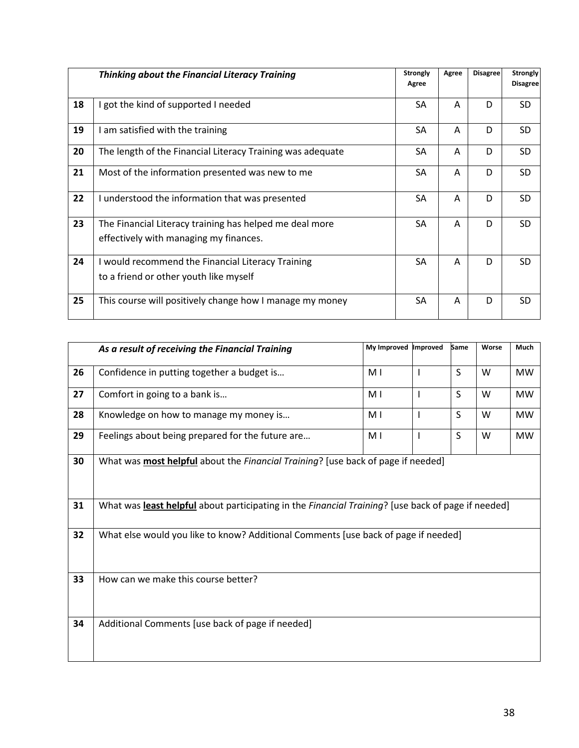|    | <b>Thinking about the Financial Literacy Training</b>                                             | <b>Strongly</b><br>Agree | Agree | <b>Disagree</b> | <b>Strongly</b><br><b>Disagree</b> |
|----|---------------------------------------------------------------------------------------------------|--------------------------|-------|-----------------|------------------------------------|
| 18 | I got the kind of supported I needed                                                              | SA                       | A     | D               | SD.                                |
| 19 | I am satisfied with the training                                                                  | SA                       | A     | D               | <b>SD</b>                          |
| 20 | The length of the Financial Literacy Training was adequate                                        | SA                       | A     | D               | <b>SD</b>                          |
| 21 | Most of the information presented was new to me                                                   | SA                       | A     | D               | <b>SD</b>                          |
| 22 | I understood the information that was presented                                                   | SA                       | A     | D               | <b>SD</b>                          |
| 23 | The Financial Literacy training has helped me deal more<br>effectively with managing my finances. | SA                       | A     | D               | <b>SD</b>                          |
| 24 | I would recommend the Financial Literacy Training<br>to a friend or other youth like myself       | SA                       | A     | D               | <b>SD</b>                          |
| 25 | This course will positively change how I manage my money                                          | SA                       | A     | D               | SD.                                |

|    | As a result of receiving the Financial Training                                                    | My Improved | Improved     | Same         | Worse | Much      |  |  |  |
|----|----------------------------------------------------------------------------------------------------|-------------|--------------|--------------|-------|-----------|--|--|--|
| 26 | Confidence in putting together a budget is                                                         | M I         | <b>I</b>     | S            | W     | <b>MW</b> |  |  |  |
| 27 | Comfort in going to a bank is                                                                      | M I         | $\mathbf{I}$ | S            | W     | <b>MW</b> |  |  |  |
| 28 | Knowledge on how to manage my money is                                                             | M I         | <b>I</b>     | $\mathsf{S}$ | W     | <b>MW</b> |  |  |  |
| 29 | Feelings about being prepared for the future are                                                   | M I         | $\mathsf{l}$ | S            | W     | <b>MW</b> |  |  |  |
| 30 | What was <b>most helpful</b> about the <i>Financial Training</i> ? [use back of page if needed]    |             |              |              |       |           |  |  |  |
| 31 | What was least helpful about participating in the Financial Training? [use back of page if needed] |             |              |              |       |           |  |  |  |
| 32 | What else would you like to know? Additional Comments [use back of page if needed]                 |             |              |              |       |           |  |  |  |
| 33 | How can we make this course better?                                                                |             |              |              |       |           |  |  |  |
| 34 | Additional Comments [use back of page if needed]                                                   |             |              |              |       |           |  |  |  |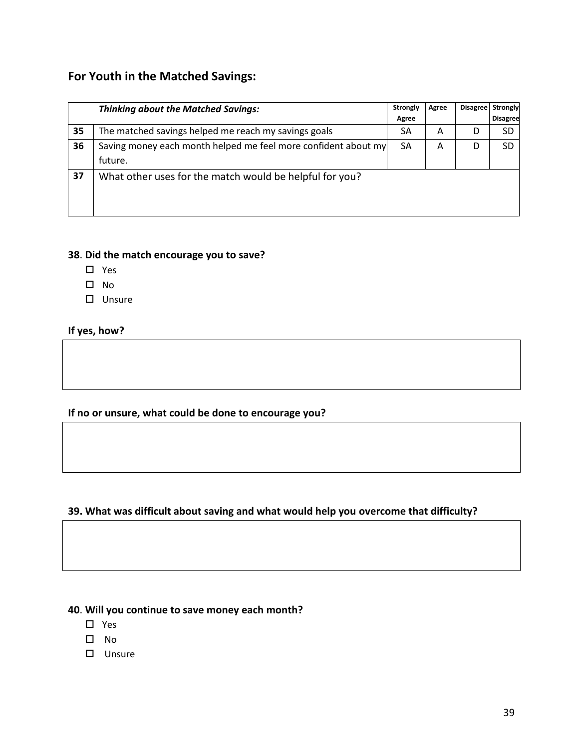# **For Youth in the Matched Savings:**

|    | <b>Thinking about the Matched Savings:</b>                     |       | Agree | <b>Disagree</b> | Strongly        |
|----|----------------------------------------------------------------|-------|-------|-----------------|-----------------|
|    |                                                                | Agree |       |                 | <b>Disagree</b> |
| 35 | The matched savings helped me reach my savings goals           | SA    | A     | D               | SD              |
| 36 | Saving money each month helped me feel more confident about my | SA    | A     | D               | SD              |
|    | future.                                                        |       |       |                 |                 |
| 37 | What other uses for the match would be helpful for you?        |       |       |                 |                 |

# **38**. **Did the match encourage you to save?**

- Yes
- $\square$  No
- Unsure

# **If yes, how?**

# **If no or unsure, what could be done to encourage you?**

# **39. What was difficult about saving and what would help you overcome that difficulty?**

# **40**. **Will you continue to save money each month?**

- □ Yes
- $\square$  No
- Unsure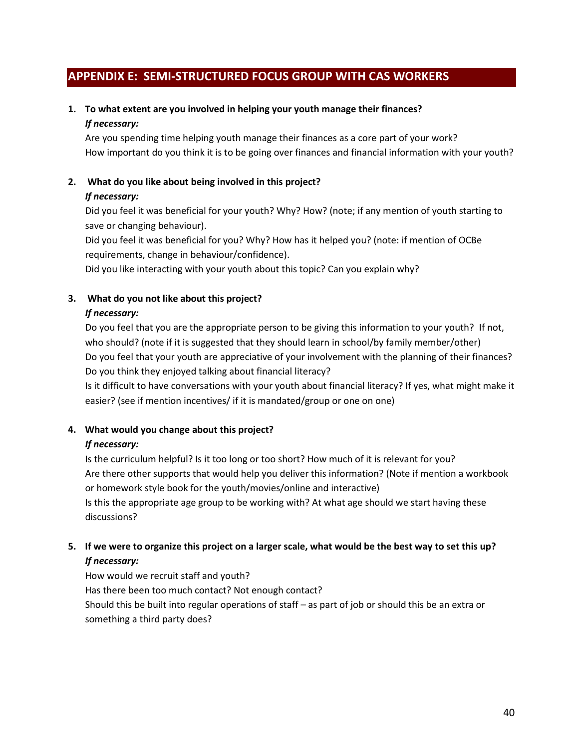# <span id="page-40-0"></span>**APPENDIX E: SEMI-STRUCTURED FOCUS GROUP WITH CAS WORKERS**

# **1. To what extent are you involved in helping your youth manage their finances?**

### *If necessary:*

Are you spending time helping youth manage their finances as a core part of your work? How important do you think it is to be going over finances and financial information with your youth?

# **2. What do you like about being involved in this project?**

### *If necessary:*

Did you feel it was beneficial for your youth? Why? How? (note; if any mention of youth starting to save or changing behaviour).

Did you feel it was beneficial for you? Why? How has it helped you? (note: if mention of OCBe requirements, change in behaviour/confidence).

Did you like interacting with your youth about this topic? Can you explain why?

### **3. What do you not like about this project?**

### *If necessary:*

Do you feel that you are the appropriate person to be giving this information to your youth? If not, who should? (note if it is suggested that they should learn in school/by family member/other) Do you feel that your youth are appreciative of your involvement with the planning of their finances? Do you think they enjoyed talking about financial literacy?

Is it difficult to have conversations with your youth about financial literacy? If yes, what might make it easier? (see if mention incentives/ if it is mandated/group or one on one)

# **4. What would you change about this project?**

# *If necessary:*

Is the curriculum helpful? Is it too long or too short? How much of it is relevant for you? Are there other supports that would help you deliver this information? (Note if mention a workbook or homework style book for the youth/movies/online and interactive) Is this the appropriate age group to be working with? At what age should we start having these discussions?

# **5. If we were to organize this project on a larger scale, what would be the best way to set this up?**  *If necessary:*

How would we recruit staff and youth? Has there been too much contact? Not enough contact? Should this be built into regular operations of staff – as part of job or should this be an extra or something a third party does?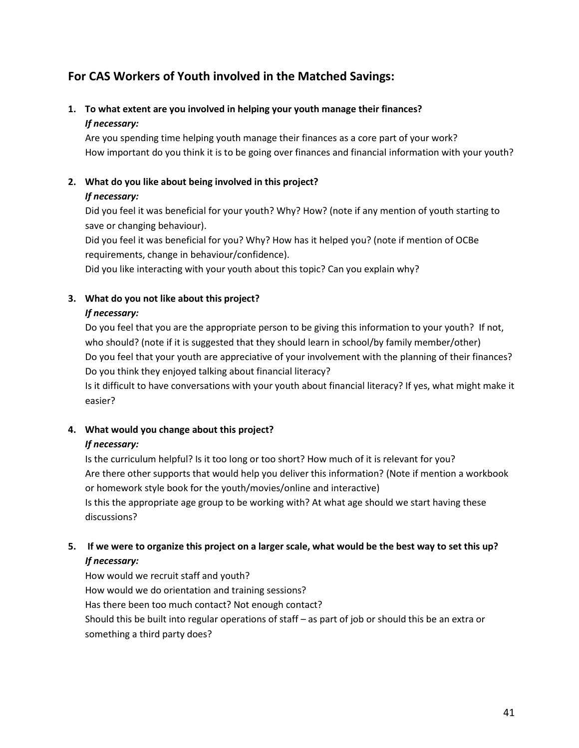# **For CAS Workers of Youth involved in the Matched Savings:**

# **1. To what extent are you involved in helping your youth manage their finances?**  *If necessary:*

Are you spending time helping youth manage their finances as a core part of your work? How important do you think it is to be going over finances and financial information with your youth?

# **2. What do you like about being involved in this project?**

# *If necessary:*

Did you feel it was beneficial for your youth? Why? How? (note if any mention of youth starting to save or changing behaviour).

Did you feel it was beneficial for you? Why? How has it helped you? (note if mention of OCBe requirements, change in behaviour/confidence).

Did you like interacting with your youth about this topic? Can you explain why?

# **3. What do you not like about this project?**

# *If necessary:*

Do you feel that you are the appropriate person to be giving this information to your youth? If not, who should? (note if it is suggested that they should learn in school/by family member/other) Do you feel that your youth are appreciative of your involvement with the planning of their finances? Do you think they enjoyed talking about financial literacy?

Is it difficult to have conversations with your youth about financial literacy? If yes, what might make it easier?

# **4. What would you change about this project?**

# *If necessary:*

Is the curriculum helpful? Is it too long or too short? How much of it is relevant for you? Are there other supports that would help you deliver this information? (Note if mention a workbook or homework style book for the youth/movies/online and interactive) Is this the appropriate age group to be working with? At what age should we start having these discussions?

# **5. If we were to organize this project on a larger scale, what would be the best way to set this up?**  *If necessary:*

How would we recruit staff and youth? How would we do orientation and training sessions? Has there been too much contact? Not enough contact? Should this be built into regular operations of staff – as part of job or should this be an extra or something a third party does?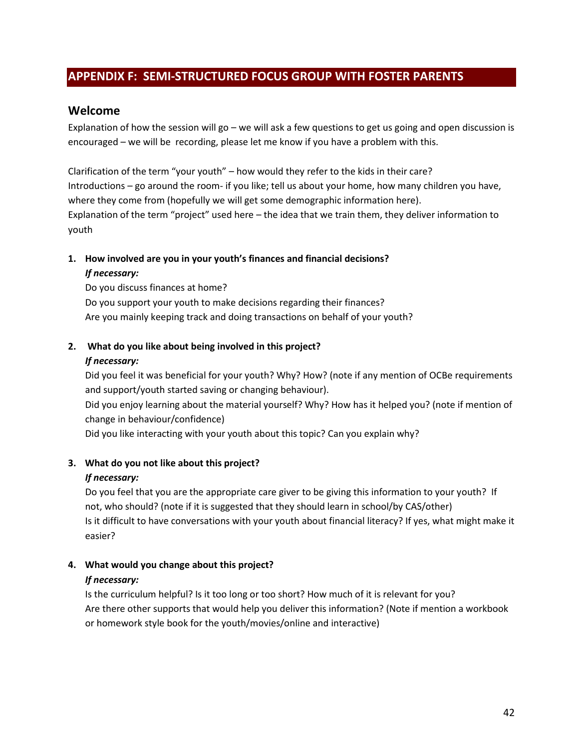# <span id="page-42-0"></span>**APPENDIX F: SEMI-STRUCTURED FOCUS GROUP WITH FOSTER PARENTS**

# **Welcome**

Explanation of how the session will go – we will ask a few questions to get us going and open discussion is encouraged – we will be recording, please let me know if you have a problem with this.

Clarification of the term "your youth" – how would they refer to the kids in their care? Introductions – go around the room- if you like; tell us about your home, how many children you have, where they come from (hopefully we will get some demographic information here). Explanation of the term "project" used here – the idea that we train them, they deliver information to youth

# **1. How involved are you in your youth's finances and financial decisions?**

### *If necessary:*

Do you discuss finances at home? Do you support your youth to make decisions regarding their finances? Are you mainly keeping track and doing transactions on behalf of your youth?

# **2. What do you like about being involved in this project?**

### *If necessary:*

Did you feel it was beneficial for your youth? Why? How? (note if any mention of OCBe requirements and support/youth started saving or changing behaviour). Did you enjoy learning about the material yourself? Why? How has it helped you? (note if mention of change in behaviour/confidence)

Did you like interacting with your youth about this topic? Can you explain why?

# **3. What do you not like about this project?**

# *If necessary:*

Do you feel that you are the appropriate care giver to be giving this information to your youth? If not, who should? (note if it is suggested that they should learn in school/by CAS/other) Is it difficult to have conversations with your youth about financial literacy? If yes, what might make it easier?

# **4. What would you change about this project?**

# *If necessary:*

Is the curriculum helpful? Is it too long or too short? How much of it is relevant for you? Are there other supports that would help you deliver this information? (Note if mention a workbook or homework style book for the youth/movies/online and interactive)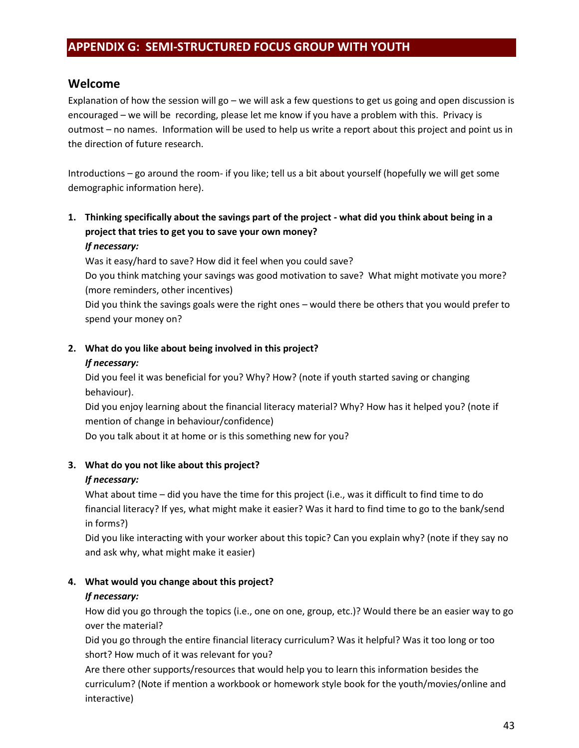# <span id="page-43-0"></span>**APPENDIX G: SEMI-STRUCTURED FOCUS GROUP WITH YOUTH**

# **Welcome**

Explanation of how the session will go – we will ask a few questions to get us going and open discussion is encouraged – we will be recording, please let me know if you have a problem with this. Privacy is outmost – no names. Information will be used to help us write a report about this project and point us in the direction of future research.

Introductions – go around the room- if you like; tell us a bit about yourself (hopefully we will get some demographic information here).

# **1. Thinking specifically about the savings part of the project - what did you think about being in a project that tries to get you to save your own money?**

# *If necessary:*

Was it easy/hard to save? How did it feel when you could save?

Do you think matching your savings was good motivation to save? What might motivate you more? (more reminders, other incentives)

Did you think the savings goals were the right ones – would there be others that you would prefer to spend your money on?

# **2. What do you like about being involved in this project?**

# *If necessary:*

Did you feel it was beneficial for you? Why? How? (note if youth started saving or changing behaviour).

Did you enjoy learning about the financial literacy material? Why? How has it helped you? (note if mention of change in behaviour/confidence)

Do you talk about it at home or is this something new for you?

# **3. What do you not like about this project?**

# *If necessary:*

What about time – did you have the time for this project (i.e., was it difficult to find time to do financial literacy? If yes, what might make it easier? Was it hard to find time to go to the bank/send in forms?)

Did you like interacting with your worker about this topic? Can you explain why? (note if they say no and ask why, what might make it easier)

# **4. What would you change about this project?**

# *If necessary:*

How did you go through the topics (i.e., one on one, group, etc.)? Would there be an easier way to go over the material?

Did you go through the entire financial literacy curriculum? Was it helpful? Was it too long or too short? How much of it was relevant for you?

Are there other supports/resources that would help you to learn this information besides the curriculum? (Note if mention a workbook or homework style book for the youth/movies/online and interactive)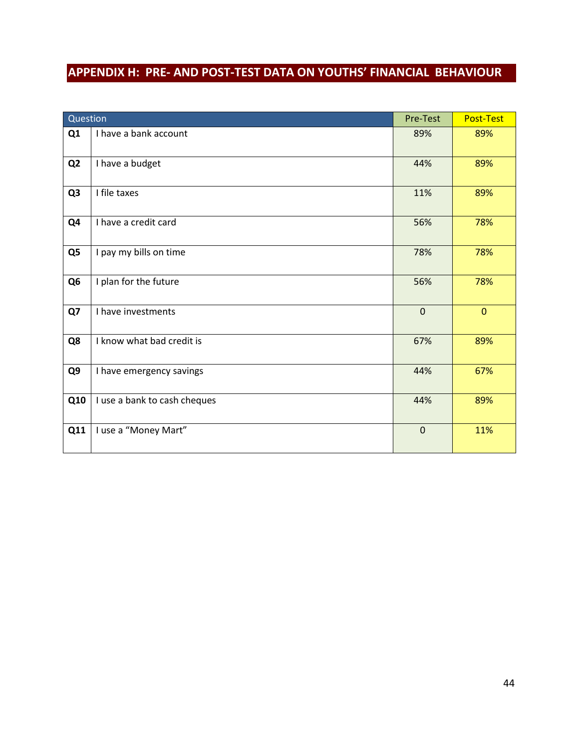# <span id="page-44-0"></span>**APPENDIX H: PRE- AND POST-TEST DATA ON YOUTHS' FINANCIAL BEHAVIOUR**

| Question       |                              | Pre-Test     | Post-Test    |
|----------------|------------------------------|--------------|--------------|
| Q1             | I have a bank account        | 89%          | 89%          |
| Q <sub>2</sub> | I have a budget              | 44%          | 89%          |
| Q <sub>3</sub> | I file taxes                 | 11%          | 89%          |
| Q4             | I have a credit card         | 56%          | 78%          |
| Q <sub>5</sub> | I pay my bills on time       | 78%          | 78%          |
| Q <sub>6</sub> | I plan for the future        | 56%          | 78%          |
| Q7             | I have investments           | $\mathbf{0}$ | $\mathbf{0}$ |
| Q8             | I know what bad credit is    | 67%          | 89%          |
| Q9             | I have emergency savings     | 44%          | 67%          |
| Q10            | I use a bank to cash cheques | 44%          | 89%          |
| Q11            | I use a "Money Mart"         | $\mathbf 0$  | 11%          |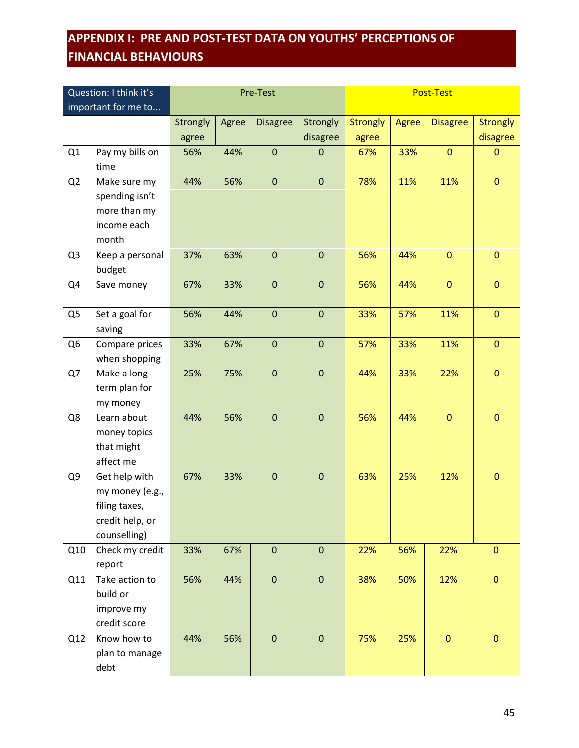# <span id="page-45-0"></span>**APPENDIX I: PRE AND POST-TEST DATA ON YOUTHS' PERCEPTIONS OF FINANCIAL BEHAVIOURS**

| Question: I think it's |                                                                                      | Pre-Test          |       |                  |                             | <b>Post-Test</b>         |       |                 |                             |
|------------------------|--------------------------------------------------------------------------------------|-------------------|-------|------------------|-----------------------------|--------------------------|-------|-----------------|-----------------------------|
|                        | important for me to                                                                  |                   |       |                  |                             |                          |       |                 |                             |
|                        |                                                                                      | Strongly<br>agree | Agree | <b>Disagree</b>  | <b>Strongly</b><br>disagree | <b>Strongly</b><br>agree | Agree | <b>Disagree</b> | <b>Strongly</b><br>disagree |
| Q1                     | Pay my bills on<br>time                                                              | 56%               | 44%   | $\pmb{0}$        | $\mathbf 0$                 | 67%                      | 33%   | $\mathbf 0$     | $\mathbf{0}$                |
| Q <sub>2</sub>         | Make sure my<br>spending isn't<br>more than my<br>income each<br>month               | 44%               | 56%   | $\boldsymbol{0}$ | $\mathbf 0$                 | 78%                      | 11%   | 11%             | $\overline{0}$              |
| Q <sub>3</sub>         | Keep a personal<br>budget                                                            | 37%               | 63%   | $\pmb{0}$        | $\mathbf 0$                 | 56%                      | 44%   | $\mathbf 0$     | $\mathbf 0$                 |
| Q4                     | Save money                                                                           | 67%               | 33%   | $\pmb{0}$        | $\boldsymbol{0}$            | 56%                      | 44%   | $\mathbf{0}$    | $\mathbf{0}$                |
| Q5                     | Set a goal for<br>saving                                                             | 56%               | 44%   | $\mathbf 0$      | $\mathbf 0$                 | 33%                      | 57%   | 11%             | $\overline{0}$              |
| Q <sub>6</sub>         | Compare prices<br>when shopping                                                      | 33%               | 67%   | $\pmb{0}$        | $\mathbf 0$                 | 57%                      | 33%   | 11%             | $\mathbf{0}$                |
| Q7                     | Make a long-<br>term plan for<br>my money                                            | 25%               | 75%   | $\pmb{0}$        | $\boldsymbol{0}$            | 44%                      | 33%   | 22%             | $\overline{0}$              |
| Q8                     | Learn about<br>money topics<br>that might<br>affect me                               | 44%               | 56%   | $\mathbf 0$      | $\mathbf 0$                 | 56%                      | 44%   | $\overline{0}$  | $\overline{0}$              |
| Q9                     | Get help with<br>my money (e.g.,<br>filing taxes,<br>credit help, or<br>counselling) | 67%               | 33%   | $\pmb{0}$        | $\mathbf 0$                 | 63%                      | 25%   | 12%             | $\mathbf{0}$                |
| Q10                    | Check my credit<br>report                                                            | 33%               | 67%   | $\mathbf 0$      | $\mathbf 0$                 | 22%                      | 56%   | 22%             | $\mathbf{0}$                |
| Q11                    | Take action to<br>build or<br>improve my<br>credit score                             | 56%               | 44%   | $\pmb{0}$        | $\pmb{0}$                   | 38%                      | 50%   | 12%             | $\mathbf{0}$                |
| Q12                    | Know how to<br>plan to manage<br>debt                                                | 44%               | 56%   | $\mathbf 0$      | $\mathbf 0$                 | 75%                      | 25%   | $\mathbf{0}$    | $\overline{0}$              |